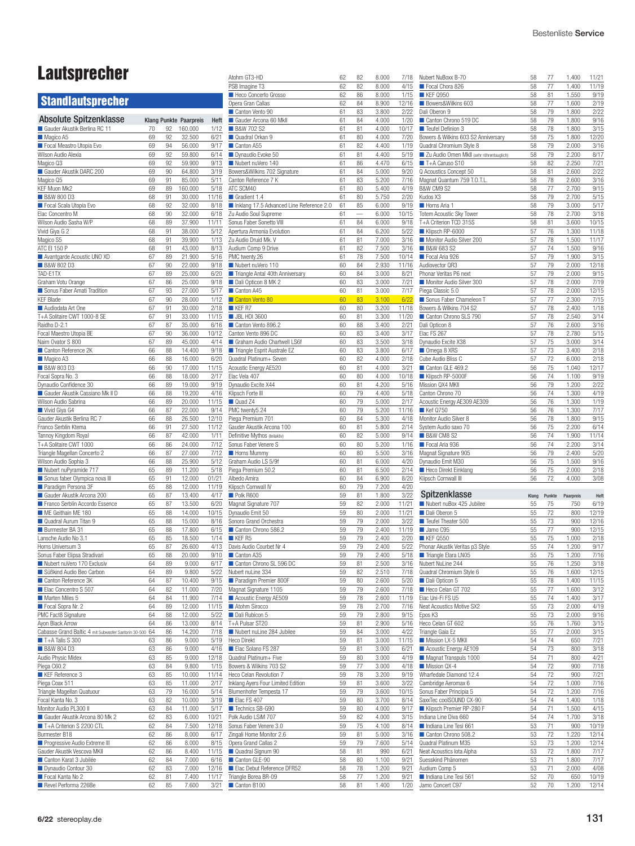# Lautsprecher

# **Standlautsprecher**

| <b>Klang Punkte Paarpreis</b><br>Gauder Akustik Berlina RC 11<br>70<br>92<br>160.000<br>1/12<br>Ξ<br>Magico A5<br>69<br>92<br>32.500<br>6/21<br>Ξ<br>Focal Meastro Utopia Evo<br>94<br>9/17<br>69<br>56.000<br>Wilson Audio Alexia<br>92<br>6/14<br>69<br>59.800<br>Magico Q3<br>69<br>92<br>59.900<br>9/13<br>Gauder Akustik DARC 200<br>3/19<br>69<br>90<br>64.800<br>69<br>5/11<br>Magico Q5<br>91<br>85.000<br>KEF Muon Mk2<br>69<br>89<br>160.000<br>5/18<br><b>B&amp;W 800 D3</b><br>11/16<br>68<br>91<br>30.000<br>Focal Scala Utopia Evo<br>68<br>92<br>32.000<br>8/18<br>Elac Concentro M<br>68<br>90<br>32.000<br>6/18<br>Wilson Audio Sasha W/P<br>11/11<br>68<br>89<br>37.900<br>Vivid Giya G 2<br>68<br>91<br>38.000<br>5/12<br>Magico S5<br>1/13<br>68<br>91<br>39.900<br>ATC EI 150 P<br>68<br>91<br>43.000<br>8/13<br>Avantgarde Acoustic UNO XD<br>67<br>21.900<br>5/16<br>89<br><b>B&amp;W 802 D3</b><br>9/18<br>67<br>90<br>22.000<br>TAD-E1TX<br>6/20<br>67<br>89<br>25.000<br>Graham Votu Orange<br>67<br>9/18<br>86<br>25.000<br>Sonus Faber Amati Tradition<br>5/17<br>67<br>93<br>27.000<br><b>KEF Blade</b><br>1/12<br>67<br>90<br>28.000<br>□<br>Audiodata Art One<br>67<br>30.000<br>2/18<br>91<br>T+A Solitaire CWT 1000-8 SE<br>11/15<br>67<br>91<br>33.000<br>Raidho D-2.1<br>6/16<br>67<br>87<br>35.000<br>Focal Maestro Utopia BE<br>10/12<br>67<br>90<br>36.000<br>Naim Ovator S 800<br>67<br>4/14<br>89<br>45.000<br>Canton Reference 2K<br>9/18<br>66<br>88<br>14.400<br>6/20<br>Magico A3<br>66<br>88<br>16.000<br><b>B&amp;W 803 D3</b><br>66<br>90<br>17.000<br>11/15<br>Focal Sopra No. 3<br>66<br>88<br>18.000<br>2/17<br>Dynaudio Confidence 30<br>66<br>89<br>19.000<br>9/19<br>Gauder Akustik Cassiano Mk II D<br>4/16<br>66<br>88<br>19.200<br>Wilson Audio Sabrina<br>66<br>89<br>20.000<br>11/15<br>Vivid Giya G4<br>66<br>87<br>22.000<br>9/14<br>Gauder Akustik Berlina RC 7<br>66<br>88<br>26.500<br>12/10<br>Franco Serblin Ktema<br>11/12<br>66<br>91<br>27.500<br>Tannoy Kingdom Royal<br>1/11<br>66<br>87<br>42.000<br>T+A Solitaire CWT 1000<br>66<br>86<br>24.000<br>7/12<br>Triangle Magellan Concerto 2<br>7/12<br>66<br>87<br>27.000<br>Wilson Audio Sophia 3<br>66<br>88<br>25.900<br>5/12<br>Nubert nuPyramide 717<br>65<br>89<br>11.200<br>5/18<br>Sonus faber Olympica nova III<br>65<br>91<br>12.000<br>01/21<br>Paradigm Persona 3F<br>65<br>88<br>12.000<br>11/19<br>Gauder Akustik Arcona 200<br>4/17<br>65<br>87<br>13.400<br>Franco Serblin Accordo Essence<br>65<br>87<br>13.500<br>6/20<br>ME Geithain ME 180<br>65<br>88<br>14.000<br>10/15<br>Quadral Aurum Titan 9<br>65<br>88<br>15.000<br>8/16<br>Burmester BA 31<br>65<br>88<br>17.800<br>6/15<br>Lansche Audio No 3.1<br>1/14<br>65<br>85<br>18.500<br>Horns Universum 3<br>4/13<br>65<br>87<br>26.600<br>Sonus Faber Elipsa Stradivari<br>9/10<br>65<br>88<br>20.000<br>Nubert nuVero 170 Exclusiv<br>64<br>89<br>9.000<br>6/17<br>Süßkind Audio Beo Carbon<br>5/22<br>64<br>89<br>9.800<br>Canton Reference 3K<br>64<br>10.400<br>87<br>9/15<br>64<br>7/20<br>Elac Concentro S 507<br>82<br>11.000<br>Marten Miles 5<br>11.900<br>7/14<br>64<br>84<br>Focal Sopra Nr. 2<br>64<br>12.000<br>11/15<br>89<br>PMC Fact8 Signature<br>64<br>88<br>12.000<br>5/22<br>8/14<br>Ayon Black Arrow<br>64<br>86<br>13.000<br>7/18<br>Cabasse Grand Baltic 4 mit Subwoofer Santorin 30-500<br>64<br>86<br>14.200<br>$\blacksquare$ T+A Talis S 300<br>63<br>86<br>9.000<br>5/19<br><b>B&amp;W 804 D3</b><br>4/16<br>63<br>86<br>9.000<br>12/18<br>Audio Physic Midex<br>85<br>63<br>9.000<br>1/15<br>Piega C60.2<br>63<br>84<br>9.800<br>11/14<br>KEF Reference 3<br>63<br>85<br>10.000<br>2/17<br>Piega Coax 511<br>85<br>11.000<br>63<br>Triangle Magellan Quatuour<br>5/14<br>63<br>79<br>16.000<br>Focal Kanta No. 3<br>63<br>82<br>10.000<br>3/19<br>Monitor Audio PL300 II<br>84<br>11.000<br>5/17<br>63<br>Gauder Akustik Arcona 80 Mk 2<br>62<br>83<br>6.000<br>10/21<br>T+A Criterion S 2200 CTL<br>62<br>84<br>7.500<br>12/18<br>Burmester B18<br>62<br>6/17<br>86<br>8.000<br>Progressive Audio Extreme III<br>8/15<br>62<br>86<br>8.000<br>Gauder Akustik Vescova MKII<br>62<br>8.400<br>11/15<br>86<br>Canton Karat 3 Jubilée<br>62<br>84<br>6/16<br>7.000<br>Dynaudio Contour 30<br>12/16<br>62<br>83<br>7.000<br>Focal Kanta No 2<br>62<br>7.400<br>11/17<br>81 | <b>Absolute Spitzenklasse</b> |    |    |       |      |    |
|--------------------------------------------------------------------------------------------------------------------------------------------------------------------------------------------------------------------------------------------------------------------------------------------------------------------------------------------------------------------------------------------------------------------------------------------------------------------------------------------------------------------------------------------------------------------------------------------------------------------------------------------------------------------------------------------------------------------------------------------------------------------------------------------------------------------------------------------------------------------------------------------------------------------------------------------------------------------------------------------------------------------------------------------------------------------------------------------------------------------------------------------------------------------------------------------------------------------------------------------------------------------------------------------------------------------------------------------------------------------------------------------------------------------------------------------------------------------------------------------------------------------------------------------------------------------------------------------------------------------------------------------------------------------------------------------------------------------------------------------------------------------------------------------------------------------------------------------------------------------------------------------------------------------------------------------------------------------------------------------------------------------------------------------------------------------------------------------------------------------------------------------------------------------------------------------------------------------------------------------------------------------------------------------------------------------------------------------------------------------------------------------------------------------------------------------------------------------------------------------------------------------------------------------------------------------------------------------------------------------------------------------------------------------------------------------------------------------------------------------------------------------------------------------------------------------------------------------------------------------------------------------------------------------------------------------------------------------------------------------------------------------------------------------------------------------------------------------------------------------------------------------------------------------------------------------------------------------------------------------------------------------------------------------------------------------------------------------------------------------------------------------------------------------------------------------------------------------------------------------------------------------------------------------------------------------------------------------------------------------------------------------------------------------------------------------------------------------------------------------------------------------------------------------------------------------------------------------------------------------------------------------------------------------------------------------------------------------------------------------------------------------------------------------------------------------------------------------------------------------------------------------------------------------------------------------------------------------------------------------------------------------------------------------------------------------------------------------------------------------------------------------------|-------------------------------|----|----|-------|------|----|
|                                                                                                                                                                                                                                                                                                                                                                                                                                                                                                                                                                                                                                                                                                                                                                                                                                                                                                                                                                                                                                                                                                                                                                                                                                                                                                                                                                                                                                                                                                                                                                                                                                                                                                                                                                                                                                                                                                                                                                                                                                                                                                                                                                                                                                                                                                                                                                                                                                                                                                                                                                                                                                                                                                                                                                                                                                                                                                                                                                                                                                                                                                                                                                                                                                                                                                                                                                                                                                                                                                                                                                                                                                                                                                                                                                                                                                                                                                                                                                                                                                                                                                                                                                                                                                                                                                                                                                                                  |                               |    |    |       | Heft | I. |
|                                                                                                                                                                                                                                                                                                                                                                                                                                                                                                                                                                                                                                                                                                                                                                                                                                                                                                                                                                                                                                                                                                                                                                                                                                                                                                                                                                                                                                                                                                                                                                                                                                                                                                                                                                                                                                                                                                                                                                                                                                                                                                                                                                                                                                                                                                                                                                                                                                                                                                                                                                                                                                                                                                                                                                                                                                                                                                                                                                                                                                                                                                                                                                                                                                                                                                                                                                                                                                                                                                                                                                                                                                                                                                                                                                                                                                                                                                                                                                                                                                                                                                                                                                                                                                                                                                                                                                                                  |                               |    |    |       |      |    |
| Ξ<br>Ξ<br>Bc<br>Сa<br>AT<br>Ξ<br>Ξ<br>Ζu<br>So<br>Аp<br>Ζu<br>Αı<br>PN<br>Ξ<br>Ξ<br>Ξ<br>Ξ<br>Ξ<br>Ξ<br>Π<br>Сa<br>Ξ<br>Π<br>Qι<br>Aс<br>Ek<br><u>Dy</u><br>Kli<br>U.<br>PN<br>Pi<br>Gε<br>De<br>So<br>Ξ<br>Gr<br>Pi<br>All<br>Kli<br>Π<br>M<br>D <sub>y</sub><br>So<br>Ξ<br>Ц<br>Dε<br>E<br>Ξ<br>Nι<br>U.<br>$M$<br>Ξ<br>Ξ<br>П<br>T+<br>Ξ<br>He<br>ш<br>Qι<br>Bc<br>Hε<br>Inl<br>Bl<br>Ξ<br>Ξ<br>P <sub>C</sub><br>$\overline{\text{Sc}}$<br>Zir<br><u>Or</u><br>ш<br>Ξ<br>Ξ<br>Tri                                                                                                                                                                                                                                                                                                                                                                                                                                                                                                                                                                                                                                                                                                                                                                                                                                                                                                                                                                                                                                                                                                                                                                                                                                                                                                                                                                                                                                                                                                                                                                                                                                                                                                                                                                                                                                                                                                                                                                                                                                                                                                                                                                                                                                                                                                                                                                                                                                                                                                                                                                                                                                                                                                                                                                                                                                                                                                                                                                                                                                                                                                                                                                                                                                                                                                                                                                                                                                                                                                                                                                                                                                                                                                                                                                                                                                                                                                            |                               |    |    |       |      | U. |
|                                                                                                                                                                                                                                                                                                                                                                                                                                                                                                                                                                                                                                                                                                                                                                                                                                                                                                                                                                                                                                                                                                                                                                                                                                                                                                                                                                                                                                                                                                                                                                                                                                                                                                                                                                                                                                                                                                                                                                                                                                                                                                                                                                                                                                                                                                                                                                                                                                                                                                                                                                                                                                                                                                                                                                                                                                                                                                                                                                                                                                                                                                                                                                                                                                                                                                                                                                                                                                                                                                                                                                                                                                                                                                                                                                                                                                                                                                                                                                                                                                                                                                                                                                                                                                                                                                                                                                                                  |                               |    |    |       |      |    |
|                                                                                                                                                                                                                                                                                                                                                                                                                                                                                                                                                                                                                                                                                                                                                                                                                                                                                                                                                                                                                                                                                                                                                                                                                                                                                                                                                                                                                                                                                                                                                                                                                                                                                                                                                                                                                                                                                                                                                                                                                                                                                                                                                                                                                                                                                                                                                                                                                                                                                                                                                                                                                                                                                                                                                                                                                                                                                                                                                                                                                                                                                                                                                                                                                                                                                                                                                                                                                                                                                                                                                                                                                                                                                                                                                                                                                                                                                                                                                                                                                                                                                                                                                                                                                                                                                                                                                                                                  |                               |    |    |       |      |    |
|                                                                                                                                                                                                                                                                                                                                                                                                                                                                                                                                                                                                                                                                                                                                                                                                                                                                                                                                                                                                                                                                                                                                                                                                                                                                                                                                                                                                                                                                                                                                                                                                                                                                                                                                                                                                                                                                                                                                                                                                                                                                                                                                                                                                                                                                                                                                                                                                                                                                                                                                                                                                                                                                                                                                                                                                                                                                                                                                                                                                                                                                                                                                                                                                                                                                                                                                                                                                                                                                                                                                                                                                                                                                                                                                                                                                                                                                                                                                                                                                                                                                                                                                                                                                                                                                                                                                                                                                  |                               |    |    |       |      |    |
|                                                                                                                                                                                                                                                                                                                                                                                                                                                                                                                                                                                                                                                                                                                                                                                                                                                                                                                                                                                                                                                                                                                                                                                                                                                                                                                                                                                                                                                                                                                                                                                                                                                                                                                                                                                                                                                                                                                                                                                                                                                                                                                                                                                                                                                                                                                                                                                                                                                                                                                                                                                                                                                                                                                                                                                                                                                                                                                                                                                                                                                                                                                                                                                                                                                                                                                                                                                                                                                                                                                                                                                                                                                                                                                                                                                                                                                                                                                                                                                                                                                                                                                                                                                                                                                                                                                                                                                                  |                               |    |    |       |      |    |
|                                                                                                                                                                                                                                                                                                                                                                                                                                                                                                                                                                                                                                                                                                                                                                                                                                                                                                                                                                                                                                                                                                                                                                                                                                                                                                                                                                                                                                                                                                                                                                                                                                                                                                                                                                                                                                                                                                                                                                                                                                                                                                                                                                                                                                                                                                                                                                                                                                                                                                                                                                                                                                                                                                                                                                                                                                                                                                                                                                                                                                                                                                                                                                                                                                                                                                                                                                                                                                                                                                                                                                                                                                                                                                                                                                                                                                                                                                                                                                                                                                                                                                                                                                                                                                                                                                                                                                                                  |                               |    |    |       |      |    |
|                                                                                                                                                                                                                                                                                                                                                                                                                                                                                                                                                                                                                                                                                                                                                                                                                                                                                                                                                                                                                                                                                                                                                                                                                                                                                                                                                                                                                                                                                                                                                                                                                                                                                                                                                                                                                                                                                                                                                                                                                                                                                                                                                                                                                                                                                                                                                                                                                                                                                                                                                                                                                                                                                                                                                                                                                                                                                                                                                                                                                                                                                                                                                                                                                                                                                                                                                                                                                                                                                                                                                                                                                                                                                                                                                                                                                                                                                                                                                                                                                                                                                                                                                                                                                                                                                                                                                                                                  |                               |    |    |       |      |    |
|                                                                                                                                                                                                                                                                                                                                                                                                                                                                                                                                                                                                                                                                                                                                                                                                                                                                                                                                                                                                                                                                                                                                                                                                                                                                                                                                                                                                                                                                                                                                                                                                                                                                                                                                                                                                                                                                                                                                                                                                                                                                                                                                                                                                                                                                                                                                                                                                                                                                                                                                                                                                                                                                                                                                                                                                                                                                                                                                                                                                                                                                                                                                                                                                                                                                                                                                                                                                                                                                                                                                                                                                                                                                                                                                                                                                                                                                                                                                                                                                                                                                                                                                                                                                                                                                                                                                                                                                  |                               |    |    |       |      |    |
|                                                                                                                                                                                                                                                                                                                                                                                                                                                                                                                                                                                                                                                                                                                                                                                                                                                                                                                                                                                                                                                                                                                                                                                                                                                                                                                                                                                                                                                                                                                                                                                                                                                                                                                                                                                                                                                                                                                                                                                                                                                                                                                                                                                                                                                                                                                                                                                                                                                                                                                                                                                                                                                                                                                                                                                                                                                                                                                                                                                                                                                                                                                                                                                                                                                                                                                                                                                                                                                                                                                                                                                                                                                                                                                                                                                                                                                                                                                                                                                                                                                                                                                                                                                                                                                                                                                                                                                                  |                               |    |    |       |      |    |
|                                                                                                                                                                                                                                                                                                                                                                                                                                                                                                                                                                                                                                                                                                                                                                                                                                                                                                                                                                                                                                                                                                                                                                                                                                                                                                                                                                                                                                                                                                                                                                                                                                                                                                                                                                                                                                                                                                                                                                                                                                                                                                                                                                                                                                                                                                                                                                                                                                                                                                                                                                                                                                                                                                                                                                                                                                                                                                                                                                                                                                                                                                                                                                                                                                                                                                                                                                                                                                                                                                                                                                                                                                                                                                                                                                                                                                                                                                                                                                                                                                                                                                                                                                                                                                                                                                                                                                                                  |                               |    |    |       |      |    |
|                                                                                                                                                                                                                                                                                                                                                                                                                                                                                                                                                                                                                                                                                                                                                                                                                                                                                                                                                                                                                                                                                                                                                                                                                                                                                                                                                                                                                                                                                                                                                                                                                                                                                                                                                                                                                                                                                                                                                                                                                                                                                                                                                                                                                                                                                                                                                                                                                                                                                                                                                                                                                                                                                                                                                                                                                                                                                                                                                                                                                                                                                                                                                                                                                                                                                                                                                                                                                                                                                                                                                                                                                                                                                                                                                                                                                                                                                                                                                                                                                                                                                                                                                                                                                                                                                                                                                                                                  |                               |    |    |       |      |    |
|                                                                                                                                                                                                                                                                                                                                                                                                                                                                                                                                                                                                                                                                                                                                                                                                                                                                                                                                                                                                                                                                                                                                                                                                                                                                                                                                                                                                                                                                                                                                                                                                                                                                                                                                                                                                                                                                                                                                                                                                                                                                                                                                                                                                                                                                                                                                                                                                                                                                                                                                                                                                                                                                                                                                                                                                                                                                                                                                                                                                                                                                                                                                                                                                                                                                                                                                                                                                                                                                                                                                                                                                                                                                                                                                                                                                                                                                                                                                                                                                                                                                                                                                                                                                                                                                                                                                                                                                  |                               |    |    |       |      |    |
|                                                                                                                                                                                                                                                                                                                                                                                                                                                                                                                                                                                                                                                                                                                                                                                                                                                                                                                                                                                                                                                                                                                                                                                                                                                                                                                                                                                                                                                                                                                                                                                                                                                                                                                                                                                                                                                                                                                                                                                                                                                                                                                                                                                                                                                                                                                                                                                                                                                                                                                                                                                                                                                                                                                                                                                                                                                                                                                                                                                                                                                                                                                                                                                                                                                                                                                                                                                                                                                                                                                                                                                                                                                                                                                                                                                                                                                                                                                                                                                                                                                                                                                                                                                                                                                                                                                                                                                                  |                               |    |    |       |      |    |
|                                                                                                                                                                                                                                                                                                                                                                                                                                                                                                                                                                                                                                                                                                                                                                                                                                                                                                                                                                                                                                                                                                                                                                                                                                                                                                                                                                                                                                                                                                                                                                                                                                                                                                                                                                                                                                                                                                                                                                                                                                                                                                                                                                                                                                                                                                                                                                                                                                                                                                                                                                                                                                                                                                                                                                                                                                                                                                                                                                                                                                                                                                                                                                                                                                                                                                                                                                                                                                                                                                                                                                                                                                                                                                                                                                                                                                                                                                                                                                                                                                                                                                                                                                                                                                                                                                                                                                                                  |                               |    |    |       |      |    |
|                                                                                                                                                                                                                                                                                                                                                                                                                                                                                                                                                                                                                                                                                                                                                                                                                                                                                                                                                                                                                                                                                                                                                                                                                                                                                                                                                                                                                                                                                                                                                                                                                                                                                                                                                                                                                                                                                                                                                                                                                                                                                                                                                                                                                                                                                                                                                                                                                                                                                                                                                                                                                                                                                                                                                                                                                                                                                                                                                                                                                                                                                                                                                                                                                                                                                                                                                                                                                                                                                                                                                                                                                                                                                                                                                                                                                                                                                                                                                                                                                                                                                                                                                                                                                                                                                                                                                                                                  |                               |    |    |       |      |    |
|                                                                                                                                                                                                                                                                                                                                                                                                                                                                                                                                                                                                                                                                                                                                                                                                                                                                                                                                                                                                                                                                                                                                                                                                                                                                                                                                                                                                                                                                                                                                                                                                                                                                                                                                                                                                                                                                                                                                                                                                                                                                                                                                                                                                                                                                                                                                                                                                                                                                                                                                                                                                                                                                                                                                                                                                                                                                                                                                                                                                                                                                                                                                                                                                                                                                                                                                                                                                                                                                                                                                                                                                                                                                                                                                                                                                                                                                                                                                                                                                                                                                                                                                                                                                                                                                                                                                                                                                  |                               |    |    |       |      |    |
|                                                                                                                                                                                                                                                                                                                                                                                                                                                                                                                                                                                                                                                                                                                                                                                                                                                                                                                                                                                                                                                                                                                                                                                                                                                                                                                                                                                                                                                                                                                                                                                                                                                                                                                                                                                                                                                                                                                                                                                                                                                                                                                                                                                                                                                                                                                                                                                                                                                                                                                                                                                                                                                                                                                                                                                                                                                                                                                                                                                                                                                                                                                                                                                                                                                                                                                                                                                                                                                                                                                                                                                                                                                                                                                                                                                                                                                                                                                                                                                                                                                                                                                                                                                                                                                                                                                                                                                                  |                               |    |    |       |      |    |
|                                                                                                                                                                                                                                                                                                                                                                                                                                                                                                                                                                                                                                                                                                                                                                                                                                                                                                                                                                                                                                                                                                                                                                                                                                                                                                                                                                                                                                                                                                                                                                                                                                                                                                                                                                                                                                                                                                                                                                                                                                                                                                                                                                                                                                                                                                                                                                                                                                                                                                                                                                                                                                                                                                                                                                                                                                                                                                                                                                                                                                                                                                                                                                                                                                                                                                                                                                                                                                                                                                                                                                                                                                                                                                                                                                                                                                                                                                                                                                                                                                                                                                                                                                                                                                                                                                                                                                                                  |                               |    |    |       |      |    |
|                                                                                                                                                                                                                                                                                                                                                                                                                                                                                                                                                                                                                                                                                                                                                                                                                                                                                                                                                                                                                                                                                                                                                                                                                                                                                                                                                                                                                                                                                                                                                                                                                                                                                                                                                                                                                                                                                                                                                                                                                                                                                                                                                                                                                                                                                                                                                                                                                                                                                                                                                                                                                                                                                                                                                                                                                                                                                                                                                                                                                                                                                                                                                                                                                                                                                                                                                                                                                                                                                                                                                                                                                                                                                                                                                                                                                                                                                                                                                                                                                                                                                                                                                                                                                                                                                                                                                                                                  |                               |    |    |       |      |    |
|                                                                                                                                                                                                                                                                                                                                                                                                                                                                                                                                                                                                                                                                                                                                                                                                                                                                                                                                                                                                                                                                                                                                                                                                                                                                                                                                                                                                                                                                                                                                                                                                                                                                                                                                                                                                                                                                                                                                                                                                                                                                                                                                                                                                                                                                                                                                                                                                                                                                                                                                                                                                                                                                                                                                                                                                                                                                                                                                                                                                                                                                                                                                                                                                                                                                                                                                                                                                                                                                                                                                                                                                                                                                                                                                                                                                                                                                                                                                                                                                                                                                                                                                                                                                                                                                                                                                                                                                  |                               |    |    |       |      |    |
|                                                                                                                                                                                                                                                                                                                                                                                                                                                                                                                                                                                                                                                                                                                                                                                                                                                                                                                                                                                                                                                                                                                                                                                                                                                                                                                                                                                                                                                                                                                                                                                                                                                                                                                                                                                                                                                                                                                                                                                                                                                                                                                                                                                                                                                                                                                                                                                                                                                                                                                                                                                                                                                                                                                                                                                                                                                                                                                                                                                                                                                                                                                                                                                                                                                                                                                                                                                                                                                                                                                                                                                                                                                                                                                                                                                                                                                                                                                                                                                                                                                                                                                                                                                                                                                                                                                                                                                                  |                               |    |    |       |      |    |
|                                                                                                                                                                                                                                                                                                                                                                                                                                                                                                                                                                                                                                                                                                                                                                                                                                                                                                                                                                                                                                                                                                                                                                                                                                                                                                                                                                                                                                                                                                                                                                                                                                                                                                                                                                                                                                                                                                                                                                                                                                                                                                                                                                                                                                                                                                                                                                                                                                                                                                                                                                                                                                                                                                                                                                                                                                                                                                                                                                                                                                                                                                                                                                                                                                                                                                                                                                                                                                                                                                                                                                                                                                                                                                                                                                                                                                                                                                                                                                                                                                                                                                                                                                                                                                                                                                                                                                                                  |                               |    |    |       |      |    |
|                                                                                                                                                                                                                                                                                                                                                                                                                                                                                                                                                                                                                                                                                                                                                                                                                                                                                                                                                                                                                                                                                                                                                                                                                                                                                                                                                                                                                                                                                                                                                                                                                                                                                                                                                                                                                                                                                                                                                                                                                                                                                                                                                                                                                                                                                                                                                                                                                                                                                                                                                                                                                                                                                                                                                                                                                                                                                                                                                                                                                                                                                                                                                                                                                                                                                                                                                                                                                                                                                                                                                                                                                                                                                                                                                                                                                                                                                                                                                                                                                                                                                                                                                                                                                                                                                                                                                                                                  |                               |    |    |       |      |    |
|                                                                                                                                                                                                                                                                                                                                                                                                                                                                                                                                                                                                                                                                                                                                                                                                                                                                                                                                                                                                                                                                                                                                                                                                                                                                                                                                                                                                                                                                                                                                                                                                                                                                                                                                                                                                                                                                                                                                                                                                                                                                                                                                                                                                                                                                                                                                                                                                                                                                                                                                                                                                                                                                                                                                                                                                                                                                                                                                                                                                                                                                                                                                                                                                                                                                                                                                                                                                                                                                                                                                                                                                                                                                                                                                                                                                                                                                                                                                                                                                                                                                                                                                                                                                                                                                                                                                                                                                  |                               |    |    |       |      |    |
|                                                                                                                                                                                                                                                                                                                                                                                                                                                                                                                                                                                                                                                                                                                                                                                                                                                                                                                                                                                                                                                                                                                                                                                                                                                                                                                                                                                                                                                                                                                                                                                                                                                                                                                                                                                                                                                                                                                                                                                                                                                                                                                                                                                                                                                                                                                                                                                                                                                                                                                                                                                                                                                                                                                                                                                                                                                                                                                                                                                                                                                                                                                                                                                                                                                                                                                                                                                                                                                                                                                                                                                                                                                                                                                                                                                                                                                                                                                                                                                                                                                                                                                                                                                                                                                                                                                                                                                                  |                               |    |    |       |      |    |
|                                                                                                                                                                                                                                                                                                                                                                                                                                                                                                                                                                                                                                                                                                                                                                                                                                                                                                                                                                                                                                                                                                                                                                                                                                                                                                                                                                                                                                                                                                                                                                                                                                                                                                                                                                                                                                                                                                                                                                                                                                                                                                                                                                                                                                                                                                                                                                                                                                                                                                                                                                                                                                                                                                                                                                                                                                                                                                                                                                                                                                                                                                                                                                                                                                                                                                                                                                                                                                                                                                                                                                                                                                                                                                                                                                                                                                                                                                                                                                                                                                                                                                                                                                                                                                                                                                                                                                                                  |                               |    |    |       |      |    |
|                                                                                                                                                                                                                                                                                                                                                                                                                                                                                                                                                                                                                                                                                                                                                                                                                                                                                                                                                                                                                                                                                                                                                                                                                                                                                                                                                                                                                                                                                                                                                                                                                                                                                                                                                                                                                                                                                                                                                                                                                                                                                                                                                                                                                                                                                                                                                                                                                                                                                                                                                                                                                                                                                                                                                                                                                                                                                                                                                                                                                                                                                                                                                                                                                                                                                                                                                                                                                                                                                                                                                                                                                                                                                                                                                                                                                                                                                                                                                                                                                                                                                                                                                                                                                                                                                                                                                                                                  |                               |    |    |       |      |    |
|                                                                                                                                                                                                                                                                                                                                                                                                                                                                                                                                                                                                                                                                                                                                                                                                                                                                                                                                                                                                                                                                                                                                                                                                                                                                                                                                                                                                                                                                                                                                                                                                                                                                                                                                                                                                                                                                                                                                                                                                                                                                                                                                                                                                                                                                                                                                                                                                                                                                                                                                                                                                                                                                                                                                                                                                                                                                                                                                                                                                                                                                                                                                                                                                                                                                                                                                                                                                                                                                                                                                                                                                                                                                                                                                                                                                                                                                                                                                                                                                                                                                                                                                                                                                                                                                                                                                                                                                  |                               |    |    |       |      |    |
|                                                                                                                                                                                                                                                                                                                                                                                                                                                                                                                                                                                                                                                                                                                                                                                                                                                                                                                                                                                                                                                                                                                                                                                                                                                                                                                                                                                                                                                                                                                                                                                                                                                                                                                                                                                                                                                                                                                                                                                                                                                                                                                                                                                                                                                                                                                                                                                                                                                                                                                                                                                                                                                                                                                                                                                                                                                                                                                                                                                                                                                                                                                                                                                                                                                                                                                                                                                                                                                                                                                                                                                                                                                                                                                                                                                                                                                                                                                                                                                                                                                                                                                                                                                                                                                                                                                                                                                                  |                               |    |    |       |      |    |
|                                                                                                                                                                                                                                                                                                                                                                                                                                                                                                                                                                                                                                                                                                                                                                                                                                                                                                                                                                                                                                                                                                                                                                                                                                                                                                                                                                                                                                                                                                                                                                                                                                                                                                                                                                                                                                                                                                                                                                                                                                                                                                                                                                                                                                                                                                                                                                                                                                                                                                                                                                                                                                                                                                                                                                                                                                                                                                                                                                                                                                                                                                                                                                                                                                                                                                                                                                                                                                                                                                                                                                                                                                                                                                                                                                                                                                                                                                                                                                                                                                                                                                                                                                                                                                                                                                                                                                                                  |                               |    |    |       |      |    |
|                                                                                                                                                                                                                                                                                                                                                                                                                                                                                                                                                                                                                                                                                                                                                                                                                                                                                                                                                                                                                                                                                                                                                                                                                                                                                                                                                                                                                                                                                                                                                                                                                                                                                                                                                                                                                                                                                                                                                                                                                                                                                                                                                                                                                                                                                                                                                                                                                                                                                                                                                                                                                                                                                                                                                                                                                                                                                                                                                                                                                                                                                                                                                                                                                                                                                                                                                                                                                                                                                                                                                                                                                                                                                                                                                                                                                                                                                                                                                                                                                                                                                                                                                                                                                                                                                                                                                                                                  |                               |    |    |       |      |    |
|                                                                                                                                                                                                                                                                                                                                                                                                                                                                                                                                                                                                                                                                                                                                                                                                                                                                                                                                                                                                                                                                                                                                                                                                                                                                                                                                                                                                                                                                                                                                                                                                                                                                                                                                                                                                                                                                                                                                                                                                                                                                                                                                                                                                                                                                                                                                                                                                                                                                                                                                                                                                                                                                                                                                                                                                                                                                                                                                                                                                                                                                                                                                                                                                                                                                                                                                                                                                                                                                                                                                                                                                                                                                                                                                                                                                                                                                                                                                                                                                                                                                                                                                                                                                                                                                                                                                                                                                  |                               |    |    |       |      |    |
|                                                                                                                                                                                                                                                                                                                                                                                                                                                                                                                                                                                                                                                                                                                                                                                                                                                                                                                                                                                                                                                                                                                                                                                                                                                                                                                                                                                                                                                                                                                                                                                                                                                                                                                                                                                                                                                                                                                                                                                                                                                                                                                                                                                                                                                                                                                                                                                                                                                                                                                                                                                                                                                                                                                                                                                                                                                                                                                                                                                                                                                                                                                                                                                                                                                                                                                                                                                                                                                                                                                                                                                                                                                                                                                                                                                                                                                                                                                                                                                                                                                                                                                                                                                                                                                                                                                                                                                                  |                               |    |    |       |      |    |
|                                                                                                                                                                                                                                                                                                                                                                                                                                                                                                                                                                                                                                                                                                                                                                                                                                                                                                                                                                                                                                                                                                                                                                                                                                                                                                                                                                                                                                                                                                                                                                                                                                                                                                                                                                                                                                                                                                                                                                                                                                                                                                                                                                                                                                                                                                                                                                                                                                                                                                                                                                                                                                                                                                                                                                                                                                                                                                                                                                                                                                                                                                                                                                                                                                                                                                                                                                                                                                                                                                                                                                                                                                                                                                                                                                                                                                                                                                                                                                                                                                                                                                                                                                                                                                                                                                                                                                                                  |                               |    |    |       |      |    |
|                                                                                                                                                                                                                                                                                                                                                                                                                                                                                                                                                                                                                                                                                                                                                                                                                                                                                                                                                                                                                                                                                                                                                                                                                                                                                                                                                                                                                                                                                                                                                                                                                                                                                                                                                                                                                                                                                                                                                                                                                                                                                                                                                                                                                                                                                                                                                                                                                                                                                                                                                                                                                                                                                                                                                                                                                                                                                                                                                                                                                                                                                                                                                                                                                                                                                                                                                                                                                                                                                                                                                                                                                                                                                                                                                                                                                                                                                                                                                                                                                                                                                                                                                                                                                                                                                                                                                                                                  |                               |    |    |       |      |    |
|                                                                                                                                                                                                                                                                                                                                                                                                                                                                                                                                                                                                                                                                                                                                                                                                                                                                                                                                                                                                                                                                                                                                                                                                                                                                                                                                                                                                                                                                                                                                                                                                                                                                                                                                                                                                                                                                                                                                                                                                                                                                                                                                                                                                                                                                                                                                                                                                                                                                                                                                                                                                                                                                                                                                                                                                                                                                                                                                                                                                                                                                                                                                                                                                                                                                                                                                                                                                                                                                                                                                                                                                                                                                                                                                                                                                                                                                                                                                                                                                                                                                                                                                                                                                                                                                                                                                                                                                  |                               |    |    |       |      |    |
|                                                                                                                                                                                                                                                                                                                                                                                                                                                                                                                                                                                                                                                                                                                                                                                                                                                                                                                                                                                                                                                                                                                                                                                                                                                                                                                                                                                                                                                                                                                                                                                                                                                                                                                                                                                                                                                                                                                                                                                                                                                                                                                                                                                                                                                                                                                                                                                                                                                                                                                                                                                                                                                                                                                                                                                                                                                                                                                                                                                                                                                                                                                                                                                                                                                                                                                                                                                                                                                                                                                                                                                                                                                                                                                                                                                                                                                                                                                                                                                                                                                                                                                                                                                                                                                                                                                                                                                                  |                               |    |    |       |      |    |
|                                                                                                                                                                                                                                                                                                                                                                                                                                                                                                                                                                                                                                                                                                                                                                                                                                                                                                                                                                                                                                                                                                                                                                                                                                                                                                                                                                                                                                                                                                                                                                                                                                                                                                                                                                                                                                                                                                                                                                                                                                                                                                                                                                                                                                                                                                                                                                                                                                                                                                                                                                                                                                                                                                                                                                                                                                                                                                                                                                                                                                                                                                                                                                                                                                                                                                                                                                                                                                                                                                                                                                                                                                                                                                                                                                                                                                                                                                                                                                                                                                                                                                                                                                                                                                                                                                                                                                                                  |                               |    |    |       |      |    |
|                                                                                                                                                                                                                                                                                                                                                                                                                                                                                                                                                                                                                                                                                                                                                                                                                                                                                                                                                                                                                                                                                                                                                                                                                                                                                                                                                                                                                                                                                                                                                                                                                                                                                                                                                                                                                                                                                                                                                                                                                                                                                                                                                                                                                                                                                                                                                                                                                                                                                                                                                                                                                                                                                                                                                                                                                                                                                                                                                                                                                                                                                                                                                                                                                                                                                                                                                                                                                                                                                                                                                                                                                                                                                                                                                                                                                                                                                                                                                                                                                                                                                                                                                                                                                                                                                                                                                                                                  |                               |    |    |       |      |    |
|                                                                                                                                                                                                                                                                                                                                                                                                                                                                                                                                                                                                                                                                                                                                                                                                                                                                                                                                                                                                                                                                                                                                                                                                                                                                                                                                                                                                                                                                                                                                                                                                                                                                                                                                                                                                                                                                                                                                                                                                                                                                                                                                                                                                                                                                                                                                                                                                                                                                                                                                                                                                                                                                                                                                                                                                                                                                                                                                                                                                                                                                                                                                                                                                                                                                                                                                                                                                                                                                                                                                                                                                                                                                                                                                                                                                                                                                                                                                                                                                                                                                                                                                                                                                                                                                                                                                                                                                  |                               |    |    |       |      |    |
|                                                                                                                                                                                                                                                                                                                                                                                                                                                                                                                                                                                                                                                                                                                                                                                                                                                                                                                                                                                                                                                                                                                                                                                                                                                                                                                                                                                                                                                                                                                                                                                                                                                                                                                                                                                                                                                                                                                                                                                                                                                                                                                                                                                                                                                                                                                                                                                                                                                                                                                                                                                                                                                                                                                                                                                                                                                                                                                                                                                                                                                                                                                                                                                                                                                                                                                                                                                                                                                                                                                                                                                                                                                                                                                                                                                                                                                                                                                                                                                                                                                                                                                                                                                                                                                                                                                                                                                                  |                               |    |    |       |      |    |
|                                                                                                                                                                                                                                                                                                                                                                                                                                                                                                                                                                                                                                                                                                                                                                                                                                                                                                                                                                                                                                                                                                                                                                                                                                                                                                                                                                                                                                                                                                                                                                                                                                                                                                                                                                                                                                                                                                                                                                                                                                                                                                                                                                                                                                                                                                                                                                                                                                                                                                                                                                                                                                                                                                                                                                                                                                                                                                                                                                                                                                                                                                                                                                                                                                                                                                                                                                                                                                                                                                                                                                                                                                                                                                                                                                                                                                                                                                                                                                                                                                                                                                                                                                                                                                                                                                                                                                                                  |                               |    |    |       |      |    |
|                                                                                                                                                                                                                                                                                                                                                                                                                                                                                                                                                                                                                                                                                                                                                                                                                                                                                                                                                                                                                                                                                                                                                                                                                                                                                                                                                                                                                                                                                                                                                                                                                                                                                                                                                                                                                                                                                                                                                                                                                                                                                                                                                                                                                                                                                                                                                                                                                                                                                                                                                                                                                                                                                                                                                                                                                                                                                                                                                                                                                                                                                                                                                                                                                                                                                                                                                                                                                                                                                                                                                                                                                                                                                                                                                                                                                                                                                                                                                                                                                                                                                                                                                                                                                                                                                                                                                                                                  |                               |    |    |       |      |    |
|                                                                                                                                                                                                                                                                                                                                                                                                                                                                                                                                                                                                                                                                                                                                                                                                                                                                                                                                                                                                                                                                                                                                                                                                                                                                                                                                                                                                                                                                                                                                                                                                                                                                                                                                                                                                                                                                                                                                                                                                                                                                                                                                                                                                                                                                                                                                                                                                                                                                                                                                                                                                                                                                                                                                                                                                                                                                                                                                                                                                                                                                                                                                                                                                                                                                                                                                                                                                                                                                                                                                                                                                                                                                                                                                                                                                                                                                                                                                                                                                                                                                                                                                                                                                                                                                                                                                                                                                  |                               |    |    |       |      |    |
|                                                                                                                                                                                                                                                                                                                                                                                                                                                                                                                                                                                                                                                                                                                                                                                                                                                                                                                                                                                                                                                                                                                                                                                                                                                                                                                                                                                                                                                                                                                                                                                                                                                                                                                                                                                                                                                                                                                                                                                                                                                                                                                                                                                                                                                                                                                                                                                                                                                                                                                                                                                                                                                                                                                                                                                                                                                                                                                                                                                                                                                                                                                                                                                                                                                                                                                                                                                                                                                                                                                                                                                                                                                                                                                                                                                                                                                                                                                                                                                                                                                                                                                                                                                                                                                                                                                                                                                                  |                               |    |    |       |      |    |
|                                                                                                                                                                                                                                                                                                                                                                                                                                                                                                                                                                                                                                                                                                                                                                                                                                                                                                                                                                                                                                                                                                                                                                                                                                                                                                                                                                                                                                                                                                                                                                                                                                                                                                                                                                                                                                                                                                                                                                                                                                                                                                                                                                                                                                                                                                                                                                                                                                                                                                                                                                                                                                                                                                                                                                                                                                                                                                                                                                                                                                                                                                                                                                                                                                                                                                                                                                                                                                                                                                                                                                                                                                                                                                                                                                                                                                                                                                                                                                                                                                                                                                                                                                                                                                                                                                                                                                                                  |                               |    |    |       |      |    |
|                                                                                                                                                                                                                                                                                                                                                                                                                                                                                                                                                                                                                                                                                                                                                                                                                                                                                                                                                                                                                                                                                                                                                                                                                                                                                                                                                                                                                                                                                                                                                                                                                                                                                                                                                                                                                                                                                                                                                                                                                                                                                                                                                                                                                                                                                                                                                                                                                                                                                                                                                                                                                                                                                                                                                                                                                                                                                                                                                                                                                                                                                                                                                                                                                                                                                                                                                                                                                                                                                                                                                                                                                                                                                                                                                                                                                                                                                                                                                                                                                                                                                                                                                                                                                                                                                                                                                                                                  |                               |    |    |       |      |    |
|                                                                                                                                                                                                                                                                                                                                                                                                                                                                                                                                                                                                                                                                                                                                                                                                                                                                                                                                                                                                                                                                                                                                                                                                                                                                                                                                                                                                                                                                                                                                                                                                                                                                                                                                                                                                                                                                                                                                                                                                                                                                                                                                                                                                                                                                                                                                                                                                                                                                                                                                                                                                                                                                                                                                                                                                                                                                                                                                                                                                                                                                                                                                                                                                                                                                                                                                                                                                                                                                                                                                                                                                                                                                                                                                                                                                                                                                                                                                                                                                                                                                                                                                                                                                                                                                                                                                                                                                  |                               |    |    |       |      |    |
|                                                                                                                                                                                                                                                                                                                                                                                                                                                                                                                                                                                                                                                                                                                                                                                                                                                                                                                                                                                                                                                                                                                                                                                                                                                                                                                                                                                                                                                                                                                                                                                                                                                                                                                                                                                                                                                                                                                                                                                                                                                                                                                                                                                                                                                                                                                                                                                                                                                                                                                                                                                                                                                                                                                                                                                                                                                                                                                                                                                                                                                                                                                                                                                                                                                                                                                                                                                                                                                                                                                                                                                                                                                                                                                                                                                                                                                                                                                                                                                                                                                                                                                                                                                                                                                                                                                                                                                                  |                               |    |    |       |      |    |
|                                                                                                                                                                                                                                                                                                                                                                                                                                                                                                                                                                                                                                                                                                                                                                                                                                                                                                                                                                                                                                                                                                                                                                                                                                                                                                                                                                                                                                                                                                                                                                                                                                                                                                                                                                                                                                                                                                                                                                                                                                                                                                                                                                                                                                                                                                                                                                                                                                                                                                                                                                                                                                                                                                                                                                                                                                                                                                                                                                                                                                                                                                                                                                                                                                                                                                                                                                                                                                                                                                                                                                                                                                                                                                                                                                                                                                                                                                                                                                                                                                                                                                                                                                                                                                                                                                                                                                                                  |                               |    |    |       |      |    |
|                                                                                                                                                                                                                                                                                                                                                                                                                                                                                                                                                                                                                                                                                                                                                                                                                                                                                                                                                                                                                                                                                                                                                                                                                                                                                                                                                                                                                                                                                                                                                                                                                                                                                                                                                                                                                                                                                                                                                                                                                                                                                                                                                                                                                                                                                                                                                                                                                                                                                                                                                                                                                                                                                                                                                                                                                                                                                                                                                                                                                                                                                                                                                                                                                                                                                                                                                                                                                                                                                                                                                                                                                                                                                                                                                                                                                                                                                                                                                                                                                                                                                                                                                                                                                                                                                                                                                                                                  |                               |    |    |       |      |    |
|                                                                                                                                                                                                                                                                                                                                                                                                                                                                                                                                                                                                                                                                                                                                                                                                                                                                                                                                                                                                                                                                                                                                                                                                                                                                                                                                                                                                                                                                                                                                                                                                                                                                                                                                                                                                                                                                                                                                                                                                                                                                                                                                                                                                                                                                                                                                                                                                                                                                                                                                                                                                                                                                                                                                                                                                                                                                                                                                                                                                                                                                                                                                                                                                                                                                                                                                                                                                                                                                                                                                                                                                                                                                                                                                                                                                                                                                                                                                                                                                                                                                                                                                                                                                                                                                                                                                                                                                  |                               |    |    |       |      |    |
|                                                                                                                                                                                                                                                                                                                                                                                                                                                                                                                                                                                                                                                                                                                                                                                                                                                                                                                                                                                                                                                                                                                                                                                                                                                                                                                                                                                                                                                                                                                                                                                                                                                                                                                                                                                                                                                                                                                                                                                                                                                                                                                                                                                                                                                                                                                                                                                                                                                                                                                                                                                                                                                                                                                                                                                                                                                                                                                                                                                                                                                                                                                                                                                                                                                                                                                                                                                                                                                                                                                                                                                                                                                                                                                                                                                                                                                                                                                                                                                                                                                                                                                                                                                                                                                                                                                                                                                                  |                               |    |    |       |      |    |
|                                                                                                                                                                                                                                                                                                                                                                                                                                                                                                                                                                                                                                                                                                                                                                                                                                                                                                                                                                                                                                                                                                                                                                                                                                                                                                                                                                                                                                                                                                                                                                                                                                                                                                                                                                                                                                                                                                                                                                                                                                                                                                                                                                                                                                                                                                                                                                                                                                                                                                                                                                                                                                                                                                                                                                                                                                                                                                                                                                                                                                                                                                                                                                                                                                                                                                                                                                                                                                                                                                                                                                                                                                                                                                                                                                                                                                                                                                                                                                                                                                                                                                                                                                                                                                                                                                                                                                                                  |                               |    |    |       |      |    |
|                                                                                                                                                                                                                                                                                                                                                                                                                                                                                                                                                                                                                                                                                                                                                                                                                                                                                                                                                                                                                                                                                                                                                                                                                                                                                                                                                                                                                                                                                                                                                                                                                                                                                                                                                                                                                                                                                                                                                                                                                                                                                                                                                                                                                                                                                                                                                                                                                                                                                                                                                                                                                                                                                                                                                                                                                                                                                                                                                                                                                                                                                                                                                                                                                                                                                                                                                                                                                                                                                                                                                                                                                                                                                                                                                                                                                                                                                                                                                                                                                                                                                                                                                                                                                                                                                                                                                                                                  |                               |    |    |       |      |    |
|                                                                                                                                                                                                                                                                                                                                                                                                                                                                                                                                                                                                                                                                                                                                                                                                                                                                                                                                                                                                                                                                                                                                                                                                                                                                                                                                                                                                                                                                                                                                                                                                                                                                                                                                                                                                                                                                                                                                                                                                                                                                                                                                                                                                                                                                                                                                                                                                                                                                                                                                                                                                                                                                                                                                                                                                                                                                                                                                                                                                                                                                                                                                                                                                                                                                                                                                                                                                                                                                                                                                                                                                                                                                                                                                                                                                                                                                                                                                                                                                                                                                                                                                                                                                                                                                                                                                                                                                  |                               |    |    |       |      |    |
|                                                                                                                                                                                                                                                                                                                                                                                                                                                                                                                                                                                                                                                                                                                                                                                                                                                                                                                                                                                                                                                                                                                                                                                                                                                                                                                                                                                                                                                                                                                                                                                                                                                                                                                                                                                                                                                                                                                                                                                                                                                                                                                                                                                                                                                                                                                                                                                                                                                                                                                                                                                                                                                                                                                                                                                                                                                                                                                                                                                                                                                                                                                                                                                                                                                                                                                                                                                                                                                                                                                                                                                                                                                                                                                                                                                                                                                                                                                                                                                                                                                                                                                                                                                                                                                                                                                                                                                                  |                               |    |    |       |      |    |
|                                                                                                                                                                                                                                                                                                                                                                                                                                                                                                                                                                                                                                                                                                                                                                                                                                                                                                                                                                                                                                                                                                                                                                                                                                                                                                                                                                                                                                                                                                                                                                                                                                                                                                                                                                                                                                                                                                                                                                                                                                                                                                                                                                                                                                                                                                                                                                                                                                                                                                                                                                                                                                                                                                                                                                                                                                                                                                                                                                                                                                                                                                                                                                                                                                                                                                                                                                                                                                                                                                                                                                                                                                                                                                                                                                                                                                                                                                                                                                                                                                                                                                                                                                                                                                                                                                                                                                                                  |                               |    |    |       |      |    |
|                                                                                                                                                                                                                                                                                                                                                                                                                                                                                                                                                                                                                                                                                                                                                                                                                                                                                                                                                                                                                                                                                                                                                                                                                                                                                                                                                                                                                                                                                                                                                                                                                                                                                                                                                                                                                                                                                                                                                                                                                                                                                                                                                                                                                                                                                                                                                                                                                                                                                                                                                                                                                                                                                                                                                                                                                                                                                                                                                                                                                                                                                                                                                                                                                                                                                                                                                                                                                                                                                                                                                                                                                                                                                                                                                                                                                                                                                                                                                                                                                                                                                                                                                                                                                                                                                                                                                                                                  |                               |    |    |       |      |    |
|                                                                                                                                                                                                                                                                                                                                                                                                                                                                                                                                                                                                                                                                                                                                                                                                                                                                                                                                                                                                                                                                                                                                                                                                                                                                                                                                                                                                                                                                                                                                                                                                                                                                                                                                                                                                                                                                                                                                                                                                                                                                                                                                                                                                                                                                                                                                                                                                                                                                                                                                                                                                                                                                                                                                                                                                                                                                                                                                                                                                                                                                                                                                                                                                                                                                                                                                                                                                                                                                                                                                                                                                                                                                                                                                                                                                                                                                                                                                                                                                                                                                                                                                                                                                                                                                                                                                                                                                  |                               |    |    |       |      |    |
|                                                                                                                                                                                                                                                                                                                                                                                                                                                                                                                                                                                                                                                                                                                                                                                                                                                                                                                                                                                                                                                                                                                                                                                                                                                                                                                                                                                                                                                                                                                                                                                                                                                                                                                                                                                                                                                                                                                                                                                                                                                                                                                                                                                                                                                                                                                                                                                                                                                                                                                                                                                                                                                                                                                                                                                                                                                                                                                                                                                                                                                                                                                                                                                                                                                                                                                                                                                                                                                                                                                                                                                                                                                                                                                                                                                                                                                                                                                                                                                                                                                                                                                                                                                                                                                                                                                                                                                                  |                               |    |    |       |      |    |
|                                                                                                                                                                                                                                                                                                                                                                                                                                                                                                                                                                                                                                                                                                                                                                                                                                                                                                                                                                                                                                                                                                                                                                                                                                                                                                                                                                                                                                                                                                                                                                                                                                                                                                                                                                                                                                                                                                                                                                                                                                                                                                                                                                                                                                                                                                                                                                                                                                                                                                                                                                                                                                                                                                                                                                                                                                                                                                                                                                                                                                                                                                                                                                                                                                                                                                                                                                                                                                                                                                                                                                                                                                                                                                                                                                                                                                                                                                                                                                                                                                                                                                                                                                                                                                                                                                                                                                                                  |                               |    |    |       |      |    |
|                                                                                                                                                                                                                                                                                                                                                                                                                                                                                                                                                                                                                                                                                                                                                                                                                                                                                                                                                                                                                                                                                                                                                                                                                                                                                                                                                                                                                                                                                                                                                                                                                                                                                                                                                                                                                                                                                                                                                                                                                                                                                                                                                                                                                                                                                                                                                                                                                                                                                                                                                                                                                                                                                                                                                                                                                                                                                                                                                                                                                                                                                                                                                                                                                                                                                                                                                                                                                                                                                                                                                                                                                                                                                                                                                                                                                                                                                                                                                                                                                                                                                                                                                                                                                                                                                                                                                                                                  |                               |    |    |       |      |    |
|                                                                                                                                                                                                                                                                                                                                                                                                                                                                                                                                                                                                                                                                                                                                                                                                                                                                                                                                                                                                                                                                                                                                                                                                                                                                                                                                                                                                                                                                                                                                                                                                                                                                                                                                                                                                                                                                                                                                                                                                                                                                                                                                                                                                                                                                                                                                                                                                                                                                                                                                                                                                                                                                                                                                                                                                                                                                                                                                                                                                                                                                                                                                                                                                                                                                                                                                                                                                                                                                                                                                                                                                                                                                                                                                                                                                                                                                                                                                                                                                                                                                                                                                                                                                                                                                                                                                                                                                  |                               |    |    |       |      |    |
|                                                                                                                                                                                                                                                                                                                                                                                                                                                                                                                                                                                                                                                                                                                                                                                                                                                                                                                                                                                                                                                                                                                                                                                                                                                                                                                                                                                                                                                                                                                                                                                                                                                                                                                                                                                                                                                                                                                                                                                                                                                                                                                                                                                                                                                                                                                                                                                                                                                                                                                                                                                                                                                                                                                                                                                                                                                                                                                                                                                                                                                                                                                                                                                                                                                                                                                                                                                                                                                                                                                                                                                                                                                                                                                                                                                                                                                                                                                                                                                                                                                                                                                                                                                                                                                                                                                                                                                                  | Revel Performa 226Be          | 62 | 85 | 7.600 | 3/21 | ш  |

| Atohm GT3-HD                             | 62 | 82 | 8.000 | 7/18  |
|------------------------------------------|----|----|-------|-------|
| PSB Imagine T3                           | 62 | 82 | 8.000 | 4/15  |
| Heco Concerto Grosso                     | 62 | 86 | 8.000 | 1/15  |
| Opera Gran Callas                        | 62 | 84 | 8.900 | 12/16 |
| Canton Vento 90                          | 61 | 83 | 3.800 | 2/22  |
| Gauder Arcona 60 Mkll                    | 61 | 84 | 4.000 | 1/20  |
|                                          |    |    |       |       |
| <b>B&amp;W 702 S2</b>                    | 61 | 81 | 4.000 | 10/17 |
| Quadral Orkan 9                          | 61 | 80 | 4.000 | 7/20  |
| Canton A55                               | 61 | 82 | 4.400 | 1/19  |
| Dynaudio Evoke 50                        | 61 | 81 | 4.400 | 5/19  |
| Nubert nuVero 140                        | 61 | 86 | 4.470 | 6/15  |
|                                          |    |    |       |       |
| Bowers&Wilkins 702 Signature             | 61 | 84 | 5.000 | 9/20  |
| Canton Reference 7 K                     | 61 | 83 | 5.200 | 7/16  |
| ATC SCM40                                | 61 | 80 | 5.400 | 4/19  |
| Gradient 1.4                             | 61 | 80 | 5.750 | 2/20  |
| Inklang 17.5 Advanced Line Reference 2.0 | 61 | 85 | 6.000 | 9/19  |
|                                          |    |    |       |       |
| Zu Audio Soul Supreme                    | 61 |    | 6.000 | 10/15 |
| Sonus Faber Sonetto VIII                 | 61 | 84 | 6.000 | 9/18  |
| Apertura Armonia Evolution               | 61 | 84 | 6.200 | 5/22  |
| Zu Audio Druid Mk. V                     | 61 | 81 | 7.000 | 3/16  |
| Audium Comp 9 Drive                      | 61 | 82 | 7.500 | 3/16  |
|                                          |    |    |       |       |
| PMC twenty.26                            | 61 | 78 | 7.500 | 10/14 |
| Nubert nuVero 110                        | 60 | 84 | 2.930 | 11/16 |
| Triangle Antal 40th Anniversary          | 60 | 84 | 3.000 | 8/21  |
| Dali Opticon 8 MK 2                      | 60 | 83 | 3.000 | 7/21  |
| Canton A45                               |    |    |       | 7/17  |
|                                          | 60 | 81 | 3.000 |       |
| Canton Vento 80                          | 60 | 83 | 3.100 | 6/22  |
| <b>KEF R7</b>                            | 60 | 80 | 3.200 | 11/18 |
| <b>JBL HDI 3600</b>                      | 60 | 81 | 3.300 | 11/20 |
| Canton Vento 896.2                       | 60 | 88 | 3.400 | 2/21  |
| Canton Vento 896 DC                      |    | 83 | 3.400 | 3/17  |
|                                          | 60 |    |       |       |
| Graham Audio Chartwell LS6f              | 60 | 83 | 3.500 | 3/18  |
| Triangle Esprit Australe EZ              | 60 | 83 | 3.800 | 6/17  |
| Quadral Platinum+ Seven                  | 60 | 82 | 4.000 | 2/18  |
| Acoustic Energy AE520                    | 60 | 81 | 4.000 | 3/21  |
|                                          |    |    |       | 10/18 |
| Elac Vela 407                            | 60 | 80 | 4.000 |       |
| Dynaudio Excite X44                      | 60 | 81 | 4.200 | 5/16  |
| Klipsch Forte III                        | 60 | 79 | 4.400 | 5/18  |
| Quad Z4                                  | 60 | 79 | 5.000 | 2/17  |
| PMC twenty5.24                           | 60 | 79 | 5.200 | 11/16 |
|                                          |    |    |       |       |
| Piega Premium 701                        | 60 | 84 | 5.300 | 4/18  |
| Gauder Akustik Arcona 100                | 60 | 81 | 5.800 | 2/14  |
| Definitive Mythos (teilaktiv)            | 60 | 82 | 5.000 | 9/14  |
| Sonus Faber Venere S                     | 60 | 80 | 5.200 | 1/16  |
| Horns Mummy                              | 60 | 80 | 5.500 | 3/16  |
|                                          |    |    |       |       |
| Graham Audio LS 5/9f                     | 60 | 81 | 6.000 | 4/20  |
| Piega Premium 50.2                       | 60 | 81 | 6.500 | 2/14  |
| Albedo Amira                             | 60 | 84 | 6.900 | 8/20  |
| Klipsch Cornwall IV                      | 60 | 79 | 7.200 | 4/20  |
|                                          |    | 81 |       | 3/22  |
| Polk R600                                | 59 |    | 1.800 |       |
| Magnat Signature 707                     | 59 | 82 | 2.000 | 11/21 |
| Dynaudio Emit 50                         | 59 | 80 | 2.000 | 11/21 |
| Sonoro Grand Orchestra                   | 59 | 79 | 2.000 | 3/22  |
| Canton Chrono 586.2                      | 59 | 79 | 2.400 | 11/19 |
| KEF <sub>R5</sub>                        | 59 | 79 | 2.400 | 2/20  |
|                                          |    |    |       |       |
| Davis Audio Courbet Nr 4                 | 59 | 79 | 2.400 | 5/22  |
| Canton A35                               | 59 | 79 | 2.400 | 5/18  |
| Canton Chrono SL 596 DC                  | 59 | 81 | 2.500 | 3/16  |
| Nubert nuLine 334                        | 59 | 82 | 2.510 | 7/18  |
| Paradigm Premier 800F                    |    |    |       |       |
|                                          | 59 | 80 | 2.600 | 5/20  |
| Magnat Signature 1105                    | 59 | 79 | 2.600 | 7/18  |
| Acoustic Energy AE509                    | 59 | 78 | 2.600 | 11/19 |
| Atohm Sirocco                            | 59 | 78 | 2.700 | 7/16  |
| Dali Rubicon 5                           | 59 | 79 | 2.800 | 9/15  |
|                                          |    |    |       |       |
| T+A Pulsar ST20                          | 59 | 81 | 2.900 | 5/16  |
| Nubert nuLine 284 Jubilee                | 59 | 84 | 3.000 | 4/22  |
| Heco Direkt                              | 59 | 81 | 3.000 | 11/15 |
| Elac Solano FS 287                       | 59 | 81 | 3.000 | 6/21  |
| Quadral Platinum+ Five                   | 59 | 80 | 3.000 | 4/19  |
|                                          |    |    |       |       |
| Bowers & Wilkins 703 S2                  | 59 | 77 | 3.000 | 4/18  |
| Heco Celan Revolution 7                  | 59 | 78 | 3.200 | 9/19  |
| Inklang Ayers Four Limited Edition       | 59 | 81 | 3.600 | 3/22  |
| Blumenhofer Tempesta 17                  | 59 | 79 | 3.600 | 10/15 |
| Elac FS 407                              | 59 | 80 | 3.700 | 8/14  |
|                                          |    |    |       |       |
| Technics SB-G90                          | 59 | 80 | 4.000 | 9/17  |
| Polk Audio LSiM 707                      | 59 | 82 | 4.000 | 3/15  |
| Sonus Faber Venere 3.0                   | 59 | 75 | 4.100 | 8/14  |
| Zingali Home Monitor 2.6                 | 59 | 81 | 5.000 | 3/16  |
| Opera Grand Callas 2                     | 59 | 79 | 7.600 | 5/14  |
|                                          |    |    |       |       |
| Quadral Signum 90                        | 58 | 81 | 990   | 6/21  |
| Canton GLE-90                            | 58 | 80 | 1.100 | 9/21  |
| Elac Debut Reference DFR52               | 58 | 78 | 1.200 | 9/21  |
| Triangle Borea BR-09                     | 58 | 77 | 1.200 | 9/21  |
| Canton B100                              | 58 | 81 | 1.400 | 1/20  |
|                                          |    |    |       |       |
|                                          |    |    |       |       |

| Nubert NuBoxx B-70                        | 58       | 77       | 1.400        | 11/21          |
|-------------------------------------------|----------|----------|--------------|----------------|
| Focal Chora 826                           | 58       | 77       | 1.400        | 11/19          |
| KEF Q950                                  | 58       | 81       | 1.550        | 9/19           |
| Bowers&Wilkins 603                        | 58       | 77       | 1.600        | 2/19           |
| Dali Oberon 9                             | 58       | 79       | 1.800        | 2/22           |
| Canton Chrono 519 DC                      | 58       | 79       | 1.800        | 9/16           |
| Teufel Definion 3                         | 58       | 78       | 1.800        | 3/15           |
| Bowers & Wilkins 603 S2 Anniversary       | 58       | 75       | 1.800        | 12/20          |
| Quadral Chromium Style 8                  | 58       | 79       | 2.000        | 3/16           |
| Zu Audio Omen MkII (sehr röhrentauglich)  | 58       | 79       | 2.200        | 8/17           |
| T+A Caruso S10                            | 58       | 82       | 2.250        | 7/21           |
| Q Acoustics Concept 50                    | 58       | 81       | 2.600        | 2/22           |
| Magnat Quantum 759 T.O.T.L.               | 58       | 78       | 2.600        | 3/16           |
| B&W CM9 S2                                | 58       | 77       | 2.700        | 9/15           |
| Kudos X3                                  | 58       | 79       | 2.700        | 5/15           |
| Horns Aria 1                              | 58       | 79       | 3.000        | 5/17           |
| Totem Acoustic Sky Tower                  | 58       | 78       | 2.700        | 3/18           |
| T+A Criterion TCD 315S                    | 58       | 81       | 3.600        | 10/15          |
| Klipsch RP-6000                           |          | 76       |              |                |
|                                           | 57       |          | 1.300        | 11/18          |
| Monitor Audio Silver 200                  | 57       | 78       | 1.500        | 11/17          |
| <b>B&amp;W 683 S2</b>                     | 57       | 74       | 1.500        | 9/16           |
| Focal Aria 926                            | 57       | 79       | 1.900        | 3/15           |
| Audiovector QR3                           | 57       | 79       | 2.000        | 12/18          |
| Phonar Veritas P6 next                    | 57       | 79       | 2.000        | 9/15           |
| Monitor Audio Silver 300                  | 57       | 78       | 2.000        | 7/19           |
| Piega Classic 5.0                         | 57       | 78       | 2.000        | 12/15          |
| Sonus Faber Chameleon T                   | 57       | 77       | 2.300        | 7/15           |
| Bowers & Wilkins 704 S2                   | 57       | 78       | 2.400        | 1/18           |
| Canton Chrono SLS 790                     | 57       | 78       | 2.540        | 3/14           |
| Dali Opticon 8                            | 57       | 76       | 2.600        | 3/16           |
| Elac FS 267                               | 57       | 78       | 2.780        | 5/15           |
| Dynaudio Excite X38                       | 57       | 75       | 3.000        | 3/14           |
| Omega 8 XRS                               | 57       | 73       | 3.400        | 2/18           |
| Cube Audio Bliss C                        | 57       | 72       | 6.000        | 2/18           |
| Canton GLE 469.2                          | 56       | 75       | 1.040        | 12/17          |
| Klipsch RP-5000F                          |          | 74       |              |                |
|                                           | 56       |          | 1.100        | 9/19           |
| Mission QX4 MKII                          | 56       | 79       | 1.200        | 2/22           |
| Canton Chrono 70                          | 56       | 74       | 1.300        | 4/19           |
| Acoustic Energy AE309 AE309               | 56       | 76       | 1.300        | 1/19           |
| <b>Kef Q750</b>                           | 56       | 76       | 1.300        | 7/17           |
| Monitor Audio Silver 8                    | 56       | 78       | 1.800        | 9/15           |
| System Audio saxo 70                      | 56       | 75       | 2.200        | 6/14           |
|                                           |          |          |              |                |
| <b>B&amp;W CM8 S2</b>                     | 56       | 74       | 1.900        | 11/14          |
| Focal Aria 936                            | 56       | 74       | 2.200        | 3/14           |
| Magnat Signature 905                      | 56       | 79       | 2.400        | 5/20           |
| Dynaudio Emit M30                         | 56       | 75       | 1.500        | 9/16           |
| Heco Direkt Einklang                      | 56       | 75       | 2.000        | 2/18           |
| Klipsch Cornwall III                      | 56       | 72       | 4.000        | 3/08           |
|                                           |          |          |              |                |
| Spitzenklasse                             | Klang    | Punkte   | Paarpreis    | Heft           |
| Nubert nuBox 425 Jubilee                  | 55       | 75       | 750          |                |
| Dali Oberon 5                             | 55       | 72       | 800          | 6/19           |
|                                           |          |          |              | 12/19          |
| Teufel Theater 500                        | 55       | 73       | 900          | 12/16          |
| Jamo C95                                  | 55       | 77       | 900          | 12/15          |
| <b>KEF Q550</b>                           | 55       | 75       | 1.000        | 2/18           |
| Phonar Akustik Veritas p3 Style           | 55       | 74       | 1.200        | 9/17           |
| Triangle Elara LN05                       | 55       | 75       | 1.200        | 7/16           |
| Nubert NuLine 244                         | 55       | 76       | 1.250        | 3/18           |
| Quadral Chromium Style 6                  | 55       | 76       | 1.600        | 12/15          |
| Dali Opticon 5                            | 55       | 78       | 1.400        | 11/15          |
| Heco Celan GT 702                         | 55       | 77       | 1.600        | 3/12           |
| Elac Uni-Fi FS U5                         | 55       | 74       | 1.400        | 3/17           |
| Neat Acoustics Motive SX2                 | 55       | 73       | 2.000        | 4/19           |
| Epos K3                                   | 55       | 73       | 2.000        | 9/16           |
| Heco Celan GT 602                         | 55       | 76       | 1.760        | 3/15           |
| Triangle Gaia Ez                          | 55       | 77       | 2.000        | 3/15           |
| Mission LX-5 MKII                         | 54       | 74       | 650          | 7/21           |
| Acoustic Energy AE109                     | 54       | 73       | 800          | 3/18           |
| Magnat Transpuls 1000                     | 54       | 71       | 800          | 4/21           |
| Mission QX-4                              | 54       | 72       | 900          | 7/18           |
| Wharfedale Diamond 12.4                   | 54       | 72       | 900          | 7/21           |
| Cambridge Aeromax 6                       | 54       | 72       | 1.000        | 7/16           |
| Sonus Faber Principia 5                   | 54       | 72       | 1.200        | 7/16           |
| SaxxTec coolSOUND CX-90                   | 54       | 74       | 1.400        | 1/18           |
|                                           | 54       | 71       |              |                |
| Klipsch Premier RP-280 F                  |          |          | 1.500        | 4/15           |
| Indiana Line Diva 660                     | 54       | 74       | 1.700        | 3/18           |
| Indiana Line Tesi 661                     | 53       | 71       | 900          | 10/19          |
| Canton Chrono 508.2                       | 53       | 72       | 1.220        | 12/14          |
| Quadral Platinum M35                      | 53       | 73       | 1.200        | 12/14          |
| Neat Acoustics lota Alpha                 | 53       | 72       | 1.800        | 7/17           |
| Suesskind Phänomen                        | 53       | 71       | 1.800        | 7/17           |
| Audium Comp 5                             | 53       | 71       | 2.000        | 4/08           |
| Indiana Line Tesi 561<br>Jamo Concert C97 | 52<br>52 | 70<br>70 | 650<br>1.200 | 10/19<br>12/14 |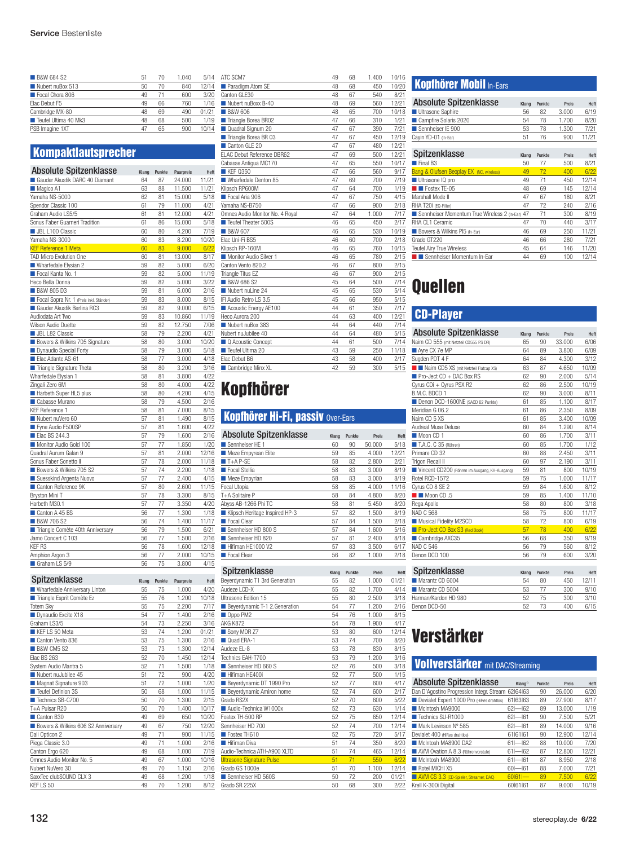| 51 | 70 | 1.040 | 5/14  |
|----|----|-------|-------|
| 50 | 70 | 840   | 12/14 |
| 49 | 71 | 600   | 3/20  |
| 49 | 66 | 760   | 1/16  |
| 48 | 69 | 490   | 01/21 |
| 48 | 68 | 500   | 1/19  |
| 47 | 65 | 900   | 10/14 |
|    |    |       |       |

### **Kompaktlautsprecher**

| <b>Absolute Spitzenklasse</b>           | Klang | Punkte | Paarpreis | Heft  |
|-----------------------------------------|-------|--------|-----------|-------|
| Gauder Akustik DARC 40 Diamant          | 64    | 87     | 24.000    | 11/21 |
| Magico A1                               | 63    | 88     | 11.500    | 11/21 |
| Yamaha NS-5000                          | 62    | 81     | 15.000    | 5/18  |
| Spendor Classic 100                     | 61    | 79     | 11.000    | 4/21  |
| Graham Audio LS5/5                      | 61    | 81     | 12.000    | 4/21  |
| Sonus Faber Guarneri Tradition          | 61    | 86     | 15.000    | 5/18  |
| <b>JBL L100 Classic</b>                 | 60    | 80     | 4.200     | 7/19  |
| Yamaha NS-3000                          | 60    | 83     | 8.200     | 10/20 |
| <b>KEF Reference 1 Meta</b>             | 60    | 83     | 9.000     | 6/22  |
| TAD Micro Evolution One                 | 60    | 81     | 13.000    | 8/17  |
| Wharfedale Elysian 2                    | 59    | 82     | 5.000     | 6/20  |
| Focal Kanta No. 1                       | 59    | 82     | 5.000     | 11/19 |
| Heco Bella Donna                        | 59    | 82     | 5.000     | 3/22  |
| <b>B&amp;W 805 D3</b>                   | 59    | 81     | 6.000     | 2/16  |
| Focal Sopra Nr. 1 (Preis inkl. Ständer) | 59    | 83     | 8.000     | 8/15  |
| Gauder Akustik Berlina RC3              | 59    | 82     | 9.000     | 6/15  |
| Audiodata Art Two                       | 59    | 83     | 10.860    | 11/19 |
| Wilson Audio Duette                     | 59    | 82     | 12.750    | 7/06  |
| <b>JBL L82 Classic</b>                  | 58    | 79     | 2.200     | 4/21  |
| Bowers & Wilkins 705 Signature          | 58    | 80     | 3.000     | 10/20 |
| Dynaudio Special Forty                  | 58    | 79     | 3.000     | 5/18  |
| Elac Adante AS-61                       | 58    | 77     | 3.000     | 4/18  |
| Triangle Signature Theta                | 58    | 80     | 3.200     | 3/16  |
| Wharfedale Elysian 1                    | 58    | 81     | 3.800     | 4/22  |
| Zingali Zero 6M                         | 58    | 80     | 4.000     | 4/22  |
| Harbeth Super HL5 plus                  | 58    | 80     | 4.200     | 4/15  |
| Cabasse Murano                          | 58    | 79     | 4.500     | 2/16  |
| <b>KEF Reference 1</b>                  | 58    | 81     | 7.000     | 8/15  |
| Nubert nuVero 60                        | 57    | 81     | 1.490     | 8/15  |
| Fyne Audio F500SP                       | 57    | 81     | 1.600     | 4/22  |
| ■ Elac BS 244.3                         | 57    | 79     | 1.600     | 2/16  |
| Monitor Audio Gold 100                  | 57    | 77     | 1.850     | 1/20  |
| Quadral Aurum Galan 9                   | 57    | 81     | 2.000     | 12/16 |
| Sonus Faber Sonetto II                  | 57    | 78     | 2.000     | 11/18 |
| Bowers & Wilkins 705 S2                 | 57    | 74     | 2.200     | 1/18  |
| Suesskind Argenta Nuovo                 | 57    | 77     | 2.400     | 4/15  |
| Canton Reference 9K                     | 57    | 80     | 2.600     | 11/15 |
| Bryston Mini T                          | 57    | 78     | 3.300     | 8/15  |
| Harbeth M30.1                           | 57    | 77     | 3.350     | 4/20  |
| Canton A 45 BS                          | 56    | 77     | 1.300     | 1/18  |
| <b>B&amp;W 706 S2</b>                   | 56    | 74     | 1.400     | 11/17 |
| Triangle Comète 40th Anniversary        | 56    | 79     | 1.500     | 6/21  |
| Jamo Concert C 103                      | 56    | 77     | 1.500     | 2/16  |
| KEF <sub>R3</sub>                       | 56    | 78     | 1.600     | 12/18 |
| Amphion Argon 3                         | 56    | 77     | 2.000     | 10/15 |
| Graham LS 5/9                           | 56    | 75     | 3.800     | 4/15  |
|                                         |       |        |           |       |

#### Spitzenklasse Klang Punkte Paarpreis Heft

| Wharfedale Anniversary Linton       | 55 | 75 | 1.000 | 4/20  |
|-------------------------------------|----|----|-------|-------|
| Triangle Esprit Comète Ez           | 55 | 76 | 1.200 | 10/18 |
| <b>Totem Skv</b>                    | 55 | 75 | 2.200 | 7/17  |
| Dynaudio Excite X18                 | 54 | 77 | 1.400 | 2/16  |
| Graham LS3/5                        | 54 | 73 | 2.250 | 3/16  |
| KEF LS 50 Meta                      | 53 | 74 | 1.200 | 01/21 |
| Canton Vento 836                    | 53 | 75 | 1.300 | 2/16  |
| <b>B&amp;W CM5 S2</b>               | 53 | 73 | 1.300 | 12/14 |
| Elac BS 263                         | 52 | 70 | 1.450 | 12/14 |
| System Audio Mantra 5               | 52 | 71 | 1.500 | 1/18  |
| Nubert nuJubilee 45                 | 51 | 72 | 900   | 4/20  |
| Magnat Signature 903                | 51 | 72 | 1.000 | 1/20  |
| Teufel Definion 3S                  | 50 | 68 | 1.000 | 11/15 |
| Technics SB-C700                    | 50 | 70 | 1.300 | 2/15  |
| T+A Pulsar R20                      | 50 | 70 | 1.400 | 10/17 |
| Canton B30                          | 49 | 69 | 650   | 10/20 |
| Bowers & Wilkins 606 S2 Anniversary | 49 | 67 | 750   | 12/20 |
| Dali Opticon 2                      | 49 | 71 | 900   | 11/15 |
| Piega Classic 3.0                   | 49 | 71 | 1.000 | 2/16  |
| Canton Ergo 620                     | 49 | 68 | 1.000 | 7/19  |
| Omnes Audio Monitor No. 5           | 49 | 67 | 1.000 | 10/16 |
| Nubert NuVero 30                    | 49 | 70 | 1.150 | 2/16  |
| SaxxTec clubSOUND CLX 3             | 49 | 68 | 1.200 | 1/18  |
| KEF LS 50                           | 49 | 70 | 1.200 | 8/12  |

| ATC SCM7                        | 49 | 68 | 1.400 | 10/16 |
|---------------------------------|----|----|-------|-------|
| Paradigm Atom SE                | 48 | 68 | 450   | 10/20 |
| Canton GLE30                    | 48 | 67 | 540   | 8/21  |
| Nubert nuBoxx B-40              | 48 | 69 | 560   | 12/21 |
| <b>B&amp;W 606</b>              | 48 | 65 | 700   | 10/18 |
| Triangle Borea BR02             | 47 | 66 | 310   | 1/21  |
| Quadral Signum 20               | 47 | 67 | 390   | 7/21  |
| Triangle Borea BR 03            | 47 | 67 | 450   | 12/19 |
| Canton GLE 20                   | 47 | 67 | 480   | 12/21 |
| FLAC Debut Reference DBR62      | 47 | 69 | 500   | 12/21 |
| Cabasse Antigua MC170           | 47 | 65 | 550   | 10/17 |
| <b>KEF 0350</b>                 | 47 | 66 | 560   | 9/17  |
| Wharfedale Denton 85            | 47 | 69 | 700   | 7/19  |
| Klipsch RP600M                  | 47 | 64 | 700   | 1/19  |
| Focal Aria 906                  | 47 | 67 | 750   | 4/15  |
| Yamaha NS-B750                  | 47 | 66 | 900   | 2/18  |
| Omnes Audio Monitor No. 4 Royal | 47 | 64 | 1.000 | 7/17  |
| Teufel Theater 500S             | 46 | 65 | 450   | 2/17  |
| <b>B&amp;W 607</b>              | 46 | 65 | 530   | 10/19 |
| Elac Uni-Fi BS5                 | 46 | 60 | 700   | 2/18  |
| Klipsch RP-160M                 | 46 | 65 | 760   | 10/15 |
| Monitor Audio Silver 1          | 46 | 65 | 780   | 2/15  |
| Canton Vento 820.2              | 46 | 67 | 800   | 2/15  |
| Triangle Titus EZ               | 46 | 67 | 900   | 2/15  |
| <b>B&amp;W 686 S2</b>           | 45 | 64 | 500   | 7/14  |
| Nubert nul ine 24               | 45 | 65 | 530   | 5/14  |
| IFI Audio Retro LS 3.5          | 45 | 66 | 950   | 5/15  |
| Acoustic Energy AE100           | 44 | 61 | 350   | 7/17  |
| Heco Aurora 200                 | 44 | 63 | 400   | 12/21 |
| Nubert nuBox 383                | 44 | 64 | 440   | 7/14  |
| Nubert nuJubilee 40             | 44 | 64 | 480   | 5/15  |
| Q Acoustic Concept              | 44 | 61 | 500   | 7/14  |
| Teufel Ultima 20                | 43 | 59 | 250   | 11/18 |
| Elac Debut B6                   | 43 | 58 | 400   | 2/17  |
| Cambridge Minx XL               | 42 | 59 | 300   | 5/15  |
|                                 |    |    |       |       |

# Kopfhörer

### Kopfhörer Hi-Fi, passiv Over-Ears

| <b>Absolute Spitzenklasse</b>  | Klang | Punkte | Preis  | Heft  |
|--------------------------------|-------|--------|--------|-------|
| Sennheiser HF 1                | 60    | 90     | 50.000 | 5/18  |
| Meze Empyrean Elite            | 59    | 85     | 4.000  | 12/21 |
| $T+A$ P-SE                     | 58    | 82     | 2.800  | 2/21  |
| Focal Stellia                  | 58    | 83     | 3.000  | 8/19  |
| Meze Empyrian                  | 58    | 83     | 3.000  | 8/19  |
| Focal Utopia                   | 58    | 85     | 4.000  | 11/16 |
| T+A Solitaire P                | 58    | 84     | 4.800  | 8/20  |
| Abyss AB-1266 Phi TC           | 58    | 81     | 5.450  | 8/20  |
| Klipsch Heritage Inspired HP-3 | 57    | 82     | 1.500  | 8/19  |
| Focal Clear                    | 57    | 84     | 1.500  | 2/18  |
| Sennheiser HD 800 S            | 57    | 84     | 1.600  | 5/16  |
| Sennheiser HD 820              | 57    | 81     | 2.400  | 8/18  |
| Hifiman HE1000 V2              | 57    | 83     | 3.500  | 6/17  |
| Focal Elear                    | 56    | 82     | 1.000  | 2/18  |

| Spitzenklasse                    | Klang | Punkte | Preis | Heft  |
|----------------------------------|-------|--------|-------|-------|
| Beyerdynamic T1 3rd Generation   | 55    | 82     | 1.000 | 01/21 |
| Audeze LCD-X                     | 55    | 82     | 1.700 | 4/14  |
| Ultrasone Edition 15             | 55    | 80     | 2.500 | 3/18  |
| Beyerdynamic T-1 2. Generation   | 54    | 77     | 1.200 | 2/16  |
| Oppo PM2                         | 54    | 76     | 1.000 | 8/15  |
| <b>AKG K872</b>                  | 54    | 78     | 1.900 | 4/17  |
| Sony MDR Z7                      | 53    | 80     | 600   | 12/14 |
| Ouad FRA-1                       | 53    | 74     | 700   | 8/20  |
| Audeze EL-8                      | 53    | 78     | 830   | 8/15  |
| Technics EAH-T700                | 53    | 79     | 1.200 | 3/16  |
| Sennheiser HD 660 S              | 52    | 76     | 500   | 3/18  |
| Hifiman HF400i                   | 52    | 77     | 500   | 1/15  |
| Beyerdynamic DT 1990 Pro         | 52    | 77     | 600   | 4/17  |
| Beyerdynamic Amiron home         | 52    | 74     | 600   | 2/17  |
| Grado RS2X                       | 52    | 70     | 600   | 5/22  |
| Audio-Technica W1000x            | 52    | 73     | 630   | 1/14  |
| Fostex TH-500 RP                 | 52    | 75     | 650   | 12/14 |
| Sennheiser HD 700                | 52    | 74     | 700   | 12/14 |
| Fostex TH610                     | 52    | 75     | 720   | 5/17  |
| <b>Hifiman Diva</b>              | 51    | 74     | 350   | 8/20  |
| Audio-Technica ATH-A900 XLTD     | 51    | 74     | 465   | 12/14 |
| <b>Ultrasone Signature Pulse</b> | 51    | 71     | 550   | 6/22  |
| Grado GS 1000e                   | 51    | 70     | 1.100 | 12/14 |
| Sennheiser HD 560S               | 50    | 72     | 200   | 01/21 |
| Grado SR 225X                    | 50    | 68     | 300   | 2/22  |

### **Kopfhörer Mobil In-Ears**

| <b>Absolute Spitzenklasse</b>                | Klang | Punkte | Preis | Heft  |
|----------------------------------------------|-------|--------|-------|-------|
| Ultrasone Saphire                            | 56    | 82     | 3.000 | 6/19  |
| Campfire Solaris 2020                        | 54    | 78     | 1.700 | 8/20  |
| Sennheiser IF 900                            | 53    | 78     | 1.300 | 7/21  |
| Cayin YD-01 (In-Ear)                         | 51    | 76     | 900   | 11/21 |
|                                              |       |        |       |       |
| Spitzenklasse                                | Klang | Punkte | Preis | Heft  |
| $\blacksquare$ Final B <sub>3</sub>          | 50    | 77     | 500   | 8/21  |
| Bang & Olufsen Beoplay EX (NC, wireless)     | 49    | 72     | 400   | 6/22  |
| Ultrasone IQ pro                             | 49    | 71     | 450   | 12/14 |
| $\blacksquare$ Fostex TF-05                  | 48    | 69     | 145   | 12/14 |
| Marshall Mode II                             | 47    | 67     | 180   | 8/21  |
| RHA T20i (EQ-Filter)                         | 47    | 72     | 240   | 2/16  |
| Sennheiser Momentum True Wireless 2 (In-Ear) | 47    | 71     | 300   | 8/19  |
| RHA CL1 Ceramic                              | 47    | 70     | 440   | 3/17  |
| Bowers & Wilkins PI5 (In-Ear)                | 46    | 69     | 250   | 11/21 |
| Grado GT220                                  | 46    | 66     | 280   | 7/21  |
| Teufel Airy True Wireless                    | 45    | 64     | 146   | 11/20 |
| Sennheiser Momentum In-Ear                   | 44    | 69     | 100   | 12/14 |

# Quellen

### CD-Player

| <b>Absolute Spitzenklasse</b>                 | Klang | Punkte | Preis  | Heft  |
|-----------------------------------------------|-------|--------|--------|-------|
| Naim CD 555 (mit Netzteil CD555 PS DR)        | 65    | 90     | 33.000 | 6/06  |
| Ayre CX 7e MP                                 | 64    | 89     | 3.800  | 6/09  |
| Sugden PDT 4 F                                | 64    | 84     | 4.300  | 3/12  |
| Naim CD5 XS (mit Netzteil Flatcap XS)         | 63    | 87     | 4.650  | 10/09 |
| $\blacksquare$ Pro-Ject CD + DAC Box RS       | 62    | 90     | 2.000  | 5/14  |
| Cyrus CDi + Cyrus PSX R2                      | 62    | 86     | 2.500  | 10/19 |
| B.M.C. BDCD 1                                 | 62    | 90     | 3.000  | 8/11  |
| Denon DCD-1600NE (SACD 62 Punkte)             | 61    | 85     | 1.100  | 8/17  |
| Meridian G 06.2                               | 61    | 86     | 2.350  | 8/09  |
| Naim CD 5 XS                                  | 61    | 85     | 3.400  | 10/09 |
| Audreal Muse Deluxe                           | 60    | 84     | 1.290  | 8/14  |
| Moon CD 1                                     | 60    | 86     | 1.700  | 3/11  |
| T.A.C. C 35 (Röhren)                          | 60    | 85     | 1.700  | 1/12  |
| Primare CD 32                                 | 60    | 88     | 2.450  | 3/11  |
| Trigon Recall II                              | 60    | 97     | 2.190  | 3/11  |
| Vincent CD200 (Röhren im Ausgang, KH-Ausgang) | 59    | 81     | 800    | 10/19 |
| Rotel RCD-1572                                | 59    | 75     | 1.000  | 11/17 |
| Cyrus CD 8 SE 2                               | 59    | 84     | 1.600  | 8/12  |
| $\blacksquare$ Moon CD .5                     | 59    | 85     | 1.400  | 11/10 |
| Rega Apollo                                   | 58    | 80     | 800    | 3/18  |
| <b>NAD C 568</b>                              | 58    | 75     | 800    | 11/17 |
| Musical Fidelity M2SCD                        | 58    | 72     | 800    | 6/19  |
| Pro-Ject CD Box S3 (Red Book)                 | 57    | 78     | 400    | 6/22  |
| Cambridge AXC35                               | 56    | 68     | 350    | 9/19  |
| <b>NAD C 546</b>                              | 56    | 79     | 560    | 8/12  |
| Denon DCD 100                                 | 56    | 79     | 600    | 3/20  |
| Spitzenklasse                                 | Klang | Punkte | Preis  | Heft  |
| Marantz CD 6004                               | 54    | 80     | 450    | 12/11 |

■ Marantz CD 5004 53 77 300 9/10 Harman/Kardon HD 980 52 75 300 3/10 Denon DCD-50 52 73 400 6/15

# Verstärker

#### Vollverstärker mit DAC/Streaming

| <b>Absolute Spitzenklasse</b>             | Klang <sup>1)</sup> | Punkte | Preis  | Heft  |
|-------------------------------------------|---------------------|--------|--------|-------|
| Dan D'Agostino Progression Integr. Stream | 62 64 63            | 90     | 26,000 | 6/20  |
| Devialet Expert 1000 Pro (HiRes drahtlos) | 61 63 63            | 89     | 27,900 | 8/17  |
| McIntosh MA9000                           | $62 - 62$           | 89     | 13.000 | 1/19  |
| Technics SU-R1000                         | $62$ - $61$         | 90     | 7.500  | 5/21  |
| Mark Levinson Nº 585                      | $62$ - $61$         | 89     | 14.000 | 9/16  |
| Devialet 400 (HiRes drahtlos)             | 61 61 61            | 90     | 12.900 | 12/14 |
| McIntosh MA8900 DA2                       | $61 - 62$           | 88     | 10.000 | 7/20  |
| AVM Ovation A 8.3 (Röhrenvorstufe)        | $61 - 62$           | 87     | 12.800 | 12/21 |
| McIntosh MA8900                           | $61 - 61$           | 87     | 8.950  | 2/18  |
| Rotel MICHI X5                            | $60 - 61$           | 88     | 7.000  | 7/21  |
| AVM CS 3.3 (CD-Spieler, Streamer, DAC)    | 60 61               | 89     | 7.500  | 6/22  |
| Krell K-300i Digital                      | 60 61 61            | 87     | 9.000  | 10/19 |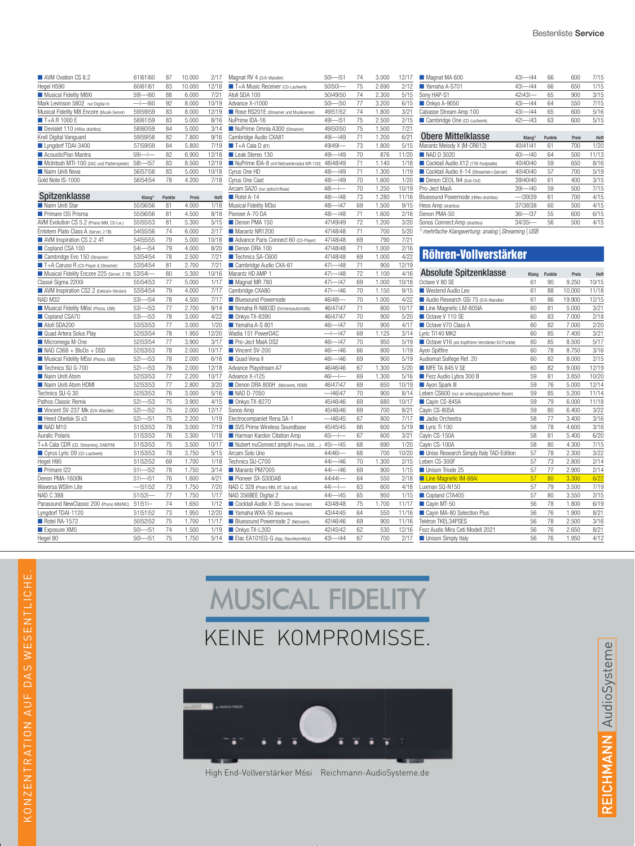| AVM Ovation CS 8.2                        | 61 61 60    | 87 | 10.000 | 2/17  |
|-------------------------------------------|-------------|----|--------|-------|
| Hegel H590                                | 60 61 61    | 83 | 10.000 | 12/18 |
| Musical Fidelity M8Xi                     | $59 - 60$   | 88 | 6.000  | 7/21  |
| Mark Levinson 5802 nur Digital-In         | $-1$ $-160$ | 92 | 8.000  | 10/19 |
| Musical Fidelity M8 Encore (Musik-Server) | 59 59 59    | 83 | 8.000  | 12/19 |
| $T+A$ R 1000 F                            | 58 61 59    | 83 | 5.000  | 8/16  |
| Devialet 110 (HiRes drahtlos)             | 58 60 59    | 84 | 5.000  | 3/14  |
| Krell Digital Vanguard                    | 59 59 58    | 82 | 7.800  | 9/16  |
| Lyngdorf TDAI-3400                        | 57 59 59    | 84 | 5.800  | 7/19  |
| AcousticPlan Mantra                       | $59 -$      | 82 | 6.900  | 12/18 |
| McIntosh MTI-100 (DAC und Plattenspieler) | $58 - 57$   | 83 | 8.500  | 12/19 |
| Naim Uniti Nova                           | 56 57 58    | 83 | 5.000  | 10/18 |
| Gold Note IS-1000                         | 56 54 54    | 78 | 4.200  | 7/18  |
|                                           |             |    |        |       |

| Spitzenklasse                                      | Klang <sup>1)</sup> | Punkte | Preis | Heft  | Rotel A-14                              | $48 - 4$    |
|----------------------------------------------------|---------------------|--------|-------|-------|-----------------------------------------|-------------|
| Naim Uniti Star                                    | 55 56 56            | 81     | 4.000 | 1/18  | Musical Fidelity M3si                   | $48 - 4$    |
| Primare I35 Prisma                                 | 55 56 56            | 81     | 4.500 | 8/18  | Pioneer A-70 DA                         | $48 - 4$    |
| AVM Evolution CS 5.2 (Phono MM, CD-Lw.)            | 55 55 53            | 81     | 5.300 | 5/15  | Denon PMA 150                           | 47 49 4     |
| Entotem Plato Class A (Server, 2 TB)               | 54 55 156           | 74     | 6.000 | 2/17  | Marantz NR1200                          | 47   48   4 |
| AVM Inspiration CS 2.2 4T                          | 54 55 155           | 79     | 5.000 | 10/18 | Advance Paris Connect 60 (CD-Player)    | 47   48   4 |
| Copland CSA 100                                    | $54 - 54$           | 79     | 4.000 | 8/20  | Denon DRA 100                           | 47   48   4 |
| Cambridge Evo 150 (Streamer)                       | 53 54 54            | 78     | 2.500 | 7/21  | Technics SA-C600                        | 47   48   4 |
| T+A Caruso R (CD-Player & Streamer)                | 53 54 54            | 81     | 2.700 | 7/21  | Cambridge Audio CXA-61                  | $47$ - $14$ |
| Musical Fidelity Encore 225 (Server, 2 TB) 531541- |                     | 80     | 5.300 | 10/16 | Marantz HD AMP 1                        | $47 - 4$    |
| Classé Sigma 2200i                                 | 55 54 53            | 77     | 5.000 | 1/17  | Magnat MR 780                           | $47 - 4$    |
| AVM Inspiration CS2.2 (Exklusiv-Version)           | 53 54 54            | 79     | 4.000 | 7/17  | Cambridge CXA80                         | $47 - 4$    |
| NAD M32                                            | $53 - 54$           | 78     | 4.500 | 7/17  | <b>Bluesound Powernode</b>              | 46 48 -     |
| Musical Fidelity M6si (Phono, USB)                 | $53 - 53$           | 77     | 2.700 | 9/14  | Yamaha R-N803D (Einmessautomatik)       | 46 47 4     |
| Copland CSA70                                      | $53 - 53$           | 78     | 3.000 | 4/22  | Onkyo TX-8390                           | 46 47 4     |
| Atoll SDA200                                       | 53 53 53            | 77     | 3.000 | 1/20  | Yamaha A-S 801                          | $46 - 4$    |
| Quad Artera Solus Play                             | 52 53 54            | 78     | 1.950 | 12/20 | Wadia 151 PowerDAC                      | $-1-14$     |
| Micromega M-One                                    | 52 53 54            | 77     | 3.900 | 3/17  | Pro-Ject MaiA DS2                       | $46 - 4$    |
| $\blacksquare$ NAD C368 + BluOs + DSD              | 52 53 53            | 78     | 2.000 | 10/17 | Vincent SV-200                          | $46 - 4$    |
| Musical Fidelity M5si (Phono, USB)                 | $52 - 53$           | 78     | 2.000 | 6/16  | Quad Venall                             | $46 - 4$    |
| Technics SU G-700                                  | $52 - 53$           | 76     | 2.000 | 12/18 | Advance Playstream A7                   | 46 46 4     |
| Naim Uniti Atom                                    | 52 53 53            | 77     | 2.200 | 10/17 | Advance X-i125                          | $46$ -      |
| Naim Uniti Atom HDMI                               | 52 53 53            | 77     | 2.800 | 3/20  | Denon DRA 800H (Netzwerk, HDMI)         | 46 47 4     |
| Technics SU-G 30                                   | 52 53 53            | 76     | 3.000 | 5/16  | NAD D-7050                              | $-464$      |
| Pathos Classic Remix                               | $52 - 53$           | 75     | 3.900 | 4/15  | Onkyo TX-8270                           | 45 46 14    |
| Vincent SV-237 Mk (D/A-Wandler)                    | $52 - 52$           | 75     | 2.000 | 12/17 | Sonos Amp                               | 45   46   4 |
| Heed Obelisk Si s3                                 | $52 - 51$           | 75     | 2.200 | 1/19  | Electrocompaniet Rena SA-1              | $-464$      |
| NAD M10                                            | 51 53 53            | 78     | 3.000 | 7/19  | SVS Prime Wireless Soundbase            | 45   45   4 |
| Auralic Polaris                                    | 51 53 53            | 76     | 3.300 | 1/18  | Harman Kardon Citation Amp              | $45 - 1$    |
| T+A Cala CDR (CD, Streaming, DAB/FM)               | 51 53 53            | 75     | 3.500 | 10/17 | Nubert nuConnect ampXi (Phono, USB, )   | $45 - 4$    |
| Cyrus Lyric 09 (CD-Laufwerk)                       | 51 53 53            | 78     | 3.750 | 5/15  | Arcam Solo Uno                          | 44   46   - |
| Hegel H90                                          | 51 52 52            | 69     | 1.700 | 1/18  | Technics SU-C700                        | $44 - 4$    |
| Primare I22                                        | $51 - 52$           | 78     | 1.750 | 3/14  | Marantz PM7005                          | $44 - 4$    |
| Denon PMA-1600N                                    | $51 - 51$           | 76     | 1.600 | 4/21  | Pioneer SX-S30DAB                       | 44 44 -     |
| Waversa WSlim Lite                                 | $-151152$           | 73     | 1.750 | 7/20  | NAD C 328 (Phono MM, BT, Sub out)       | $44 - 1$    |
| <b>NAD C 388</b>                                   | $51 52$ -           | 77     | 1.750 | 1/17  | NAD 356BEE Digital 2                    | $44 - 4$    |
| Parasound NewClassic 200 (Phono MM/MC)             | $51 51  -$          | 74     | 1.650 | 1/12  | Cocktail Audio X-35 (Server, Streamer)  | 43   48   4 |
| Lyngdorf TDAI-1120                                 | 51 51 52            | 73     | 1.950 | 12/20 | Yamaha WXA-50 (Netzwerk)                | 43 44 4     |
| Rotel RA-1572                                      | 50 52 52            | 75     | 1.700 | 11/17 | <b>Bluesound Powernode 2 (Netzwerk)</b> | 42   46   4 |
| Exposure XM5                                       | $50 - 51$           | 74     | 1.500 | 1/19  | Onkyo TX-L20D                           | 42 45 4     |
| Hegel 80                                           | $50 - 51$           | 75     | 1.750 | 5/14  | Elac EA101EQ-G (App, Raumkorrektur)     | $43 - 4$    |

| Magnat RV 4 (D/A-Wandler)                | $50 - 51$                    | 74 | 3.000 | 12/17          |
|------------------------------------------|------------------------------|----|-------|----------------|
| T+A Music Receiver (CD-Laufwerk)         | 50 50 -                      | 75 | 2.690 | 2/12           |
| Atoll SDA 100                            | 50 49 50                     | 74 | 2.300 | 5/15           |
| Advance X-i1000                          | $50 - 50$                    | 77 | 3.200 | 6/15           |
| Rose RS201E (Streamer und Musikserver)   | 49 51 52                     | 74 | 1.800 | 3/21           |
| NuPrime IDA-16                           | $49 - 51$                    | 75 | 2.500 | 2/15           |
| NuPrime Omnia A300 (Streamer)            | 49 50 50                     | 75 | 1.500 | 7/21           |
| Cambridge Audio CXA81                    | $49 - 49$                    | 71 | 1.200 | 6/21           |
| $\blacksquare$ T+A Cala D (BT)           | 49 49 -                      | 73 | 1.800 | 5/15           |
| Leak Stereo 130                          | $49 - 49$                    | 70 | 876   | 11/20          |
| NuPrime IDA-8 (mit Netzwerkmodul WR-100) | 48 48 149                    | 71 | 1.140 | 1/18           |
| Cyrus One HD                             | $48 - 49$                    | 71 | 1.300 | 1/19           |
| Cyrus One Cast                           | $48 - 49$                    | 70 | 1.600 | 1/20           |
| Arcam SA20 (nur optisch/Koax)            | $48 - -$                     | 70 | 1.250 | 10/19          |
| Rotel A-14                               | $48 - 48$                    | 73 | 1.280 | 11/16          |
| Musical Fidelity M3si                    | $48 -$<br>$-147$             | 69 | 1.500 | 9/15           |
| Pioneer A-70 DA                          | $48 - 48$                    | 71 | 1.600 | 2/16           |
| Denon PMA 150                            | 47   49   49                 | 72 | 1.200 | 3/20           |
| Marantz NR1200                           | 47   48   48                 | 71 | 700   | 5/20           |
| Advance Paris Connect 60 (CD-Player)     | 47   48   48                 | 69 | 790   | 7/21           |
| Denon DRA 100                            | 47   48   48                 | 71 | 1.000 | 2/16           |
| Technics SA-C600                         | 47   48   48                 | 69 | 1.000 | 4/22           |
| Cambridge Audio CXA-61                   | $47 - 48$                    | 71 | 900   | 12/19          |
| Marantz HD AMP 1                         | $47 -$<br>$-148$             | 72 | 1.100 | 4/16           |
| Magnat MR 780                            | $47 - 47$                    | 69 | 1.000 | 10/18          |
| Cambridge CXA80                          | $47 - 46$                    | 70 | 1.150 | 9/15           |
| <b>Bluesound Powernode</b>               | 46 48 -                      | 70 | 1.000 | 4/22           |
| Yamaha R-N803D (Einmessautomatik)        | 46 47 147                    | 71 | 800   | 10/17          |
| Onkyo TX-8390                            | 46 47 47                     | 70 | 900   | 5/20           |
| Yamaha A-S 801                           | $46 - 47$                    | 70 | 900   | 4/17           |
| Wadia 151 PowerDAC                       | $\left  - \right $<br>$-147$ | 69 | 1.125 | 3/14           |
| Pro-Ject MaiA DS2                        | $46 - 47$                    | 70 | 950   | 5/19           |
| Vincent SV-200                           | $46 - 46$                    | 66 | 800   | 1/19           |
| Quad Venall                              | $46 - 46$                    | 69 | 900   | 5/19           |
| Advance Playstream A7                    | 46 46 46                     | 67 | 1.300 | 5/20           |
| Advance X-i125                           | $46 - -$                     | 69 | 1.300 | 5/16           |
| Denon DRA 800H (Netzwerk, HDMI)          | 46 47 47                     | 69 | 650   | 10/19          |
| NAD D-7050                               | $-4647$                      | 70 | 900   | 8/14           |
| ■ Onkyo TX-8270                          | 45 46 146                    | 69 | 680   | 10/17          |
| Sonos Amp                                | 45 46 46                     | 69 | 700   | 8/21           |
| Electrocompaniet Rena SA-1               | $-4645$                      | 67 | 800   | 7/17           |
| SVS Prime Wireless Soundbase             | 45   45   45                 | 66 | 600   | 5/19           |
|                                          | 4                            |    |       |                |
| Harman Kardon Citation Amp               | $45 -$<br>$45 - 45$          | 67 | 600   | 3/21           |
| Nubert nuConnect ampXi (Phono, USB, )    |                              | 68 | 690   | 1/20           |
| Arcam Solo Uno                           | 44 46 -                      | 68 | 700   | 10/20          |
| Technics SU-C700                         | $44 - 46$                    | 70 | 1.300 | 2/15           |
| Marantz PM7005                           | $44 - 46$                    | 69 | 900   | 1/15           |
| Pioneer SX-S30DAB                        | 44   44   -                  | 64 | 550   | 2/18           |
| NAD C 328 (Phono MM, BT, Sub out)        | $44$ --                      | 63 | 600   | 4/18           |
| NAD 356BEE Digital 2                     | $44 - 45$                    | 65 | 950   | 1/15           |
| Cocktail Audio X-35 (Server, Streamer)   | 43 48 148                    | 75 | 1.700 | 11/17          |
| Yamaha WXA-50 (Netzwerk)                 | 43 44 45                     | 64 | 550   | 11/16          |
| Bluesound Powernode 2 (Netzwerk)         | 42 46 46                     | 69 | 900   | 11/16          |
| Onkyo TX-L20D                            | 42   45   42                 | 62 | 530   | 12/16          |
| Elac EA101EQ-G (App, Raumkorrektur)      | $43 - 44$                    | 67 | 700   | $\frac{2}{17}$ |

| Magnat MA 600                         | $43 - 44$           | 66     | 600   | 7/15  |
|---------------------------------------|---------------------|--------|-------|-------|
| Yamaha A-S701                         | $43 - 44$           | 66     | 650   | 1/15  |
| Sony HAP-S1                           | 42 43               | 65     | 900   | 3/15  |
| Onkyo A-9050                          | $43 - 44$           | 64     | 550   | 7/15  |
| Cabasse Stream Amp 100                | $43 - 44$           | 65     | 600   | 5/16  |
| Cambridge One (CD-Laufwerk)           | $42 - 43$           | 63     | 600   | 5/15  |
|                                       |                     |        |       |       |
| <b>Obere Mittelklasse</b>             | Klang <sup>1)</sup> | Punkte | Preis | Heft  |
| Marantz Melody X (M-CR612)            | 40 41 41            | 61     | 700   | 1/20  |
| NAD D 3020                            | $40 - 40$           | 64     | 500   | 11/13 |
| Cocktail Audio X12 (1TB-Festplatte)   | 40 40 40            | 59     | 650   | 8/16  |
| Cocktail Audio X-14 (Streamer+Server) | 40 40 40            | 57     | 700   | 5/19  |
| Denon CEOL N4 (Sub-Out)               | 39 40 40            | 61     | 400   | 3/15  |
| Pro-Ject MaiA                         | $39 - 40$           | 59     | 500   | 7/15  |
| Bluesound Powernode (HiRes drahtlos)  | $-$ 3939            | 61     | 700   | 4/15  |
| Heos Amp (drahtlos)                   | 37 38 38            | 60     | 500   | 4/15  |
| Denon PMA-50                          | $36 - 37$           | 55     | 600   | 6/15  |
| Sonos Connect: Amp (drahtlos)         | 34 35 -             | 56     | 500   | 4/15  |
| $1 - 10$<br>                          | .                   |        |       |       |

*1)mehrfache Klangwertung: analog | Streaming |USB*

#### Röhren-Vollverstärker

| <b>Absolute Spitzenklasse</b>                   | Klang | Punkte | Preis  | Heft  |
|-------------------------------------------------|-------|--------|--------|-------|
| Octave V 80 SF                                  | 61    | 90     | 9.250  | 10/15 |
| Westend Audio Leo                               | 61    | 88     | 10.000 | 11/18 |
| Audio Research GSi 75 (D/A-Wandler)             | 61    | 86     | 19.900 | 12/15 |
| Line Magnetic LM-805IA                          | 60    | 81     | 5.000  | 3/21  |
| Octave V 110 SF                                 | 60    | 83     | 7.000  | 2/18  |
| Octave V70 Class A                              | 60    | 82     | 7.000  | 2/20  |
| Lyric Ti140 MK2                                 | 60    | 85     | 7.400  | 3/21  |
| Octave V16 (als Kopfhörer-Verstärker 63 Punkte) | 60    | 85     | 8.500  | 5/17  |
| Ayon Spitfire                                   | 60    | 78     | 8.750  | 3/16  |
| Audiomat Solfege Ref. 20                        | 60    | 82     | 8.000  | 2/15  |
| MFF TA 845 V SF                                 | 60    | 82     | 9.000  | 12/19 |
| Fezz Audio Lybra 300 B                          | 59    | 81     | 3.850  | 10/20 |
| Ayon Spark III                                  | 59    | 76     | 5.000  | 12/14 |
| Leben CS600 (nur an wirkungsgradstarken Boxen)  | 59    | 85     | 5.200  | 11/14 |
| Cayin CS-845A                                   | 59    | 79     | 6.000  | 11/18 |
| Cavin CS-805A                                   | 59    | 80     | 6.400  | 3/22  |
| Jadis Orchestra                                 | 58    | 77     | 3.400  | 3/16  |
| Lyric Ti 100                                    | 58    | 78     | 4.600  | 3/16  |
| Cavin CS-150A                                   | 58    | 81     | 5.400  | 6/20  |
| Cayin CS-100A                                   | 58    | 80     | 4.300  | 7/15  |
| Uniso Research Simply Italy TAD-Edition         | 57    | 78     | 2.300  | 3/22  |
| Leben CS-300F                                   | 57    | 73     | 2.800  | 2/14  |
| Unison Triode 25                                | 57    | 77     | 2.900  | 2/14  |
| Line Magnetic IM-88Ai                           | 57    | 80     | 3.300  | 6/22  |
| Luxman SQ-N150                                  | 57    | 79     | 3.500  | 7/19  |
| Copland CTA405                                  | 57    | 80     | 3.550  | 2/15  |
| Cavin MT-50                                     | 56    | 78     | 1.800  | 6/19  |
| Cavin MA-80 Selection Plus                      | 56    | 76     | 1.900  | 8/21  |
| Tektron TKEL34PSES                              | 56    | 78     | 2.500  | 3/16  |
| Fezz Audio Mira Ceti Modell 2021                | 56    | 76     | 2.650  | 8/21  |
| Unison Simply Italy                             | 56    | 76     | 1.950  | 4/12  |

# **MUSICAL FIDELITY** KEINE KOMPROMISSE.



High End-Vollverstärker M6si Reichmann-AudioSysteme.de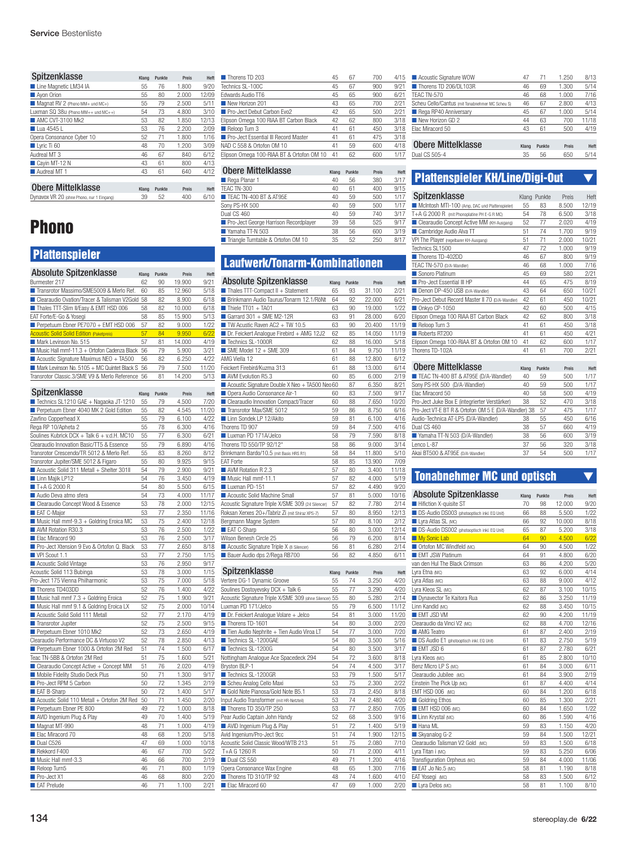| Spitzenklasse                             | Klang | Punkte | Preis | Heft  |
|-------------------------------------------|-------|--------|-------|-------|
| Line Magnetic LM34 IA                     | 55    | 76     | 1.800 | 9/20  |
| Avon Orion                                | 55    | 80     | 2.000 | 12/09 |
| Magnat RV 2 (Phono MM+ und MC+)           | 55    | 79     | 2.500 | 5/11  |
| Luxman SQ 38u (Phono MM++ und MC++)       | 54    | 73     | 4.800 | 3/10  |
| AMC CVT-3100 Mk2                          | 53    | 82     | 1.850 | 12/13 |
| Lua 4545 L                                | 53    | 76     | 2.200 | 2/09  |
| Opera Consonance Cyber 10                 | 52    | 71     | 1.800 | 1/16  |
| Lyric Ti 60                               | 48    | 70     | 1.200 | 3/09  |
| Audreal MT 3                              | 46    | 67     | 840   | 6/12  |
| Cavin MT-12 N                             | 43    | 61     | 800   | 4/13  |
| Audreal MT 1                              | 43    | 61     | 640   | 4/12  |
|                                           |       |        |       |       |
| <b>Obere Mittelklasse</b>                 | Klang | Punkte | Preis | Heft  |
| DVnavox VR 20 (ohne Phono, nur 1 Eingang) | 39    | 52     | 400   | 6/10  |

# Phono

# **Plattenspieler**

| <b>Absolute Spitzenklasse</b>                                                         | Klang    | Punkte   | Preis           | Heft          |
|---------------------------------------------------------------------------------------|----------|----------|-----------------|---------------|
| Burmester 217                                                                         | 62       | 90       | 19.900          | 9/21          |
| Transrotor Massimo/SME5009 & Merlo Ref.                                               | 60       | 85       | 12.960          | 5/18          |
| Clearaudio Ovation/Tracer & Talisman V2Gold                                           | 58       | 82<br>82 | 8.900           | 6/18<br>6/18  |
| Thales TTT-Slim II/Easy & EMT HSD 006                                                 | 58       |          | 10.000          |               |
| EAT Forte/E-Go & Yosegi<br>Perpetuum Ebner PE7070 + EMT HSD 006                       | 58<br>57 | 85<br>82 | 15.900<br>9.000 | 5/13          |
| <b>Acoustic Solid Solid Edition (Paketpreis)</b>                                      | 57       | 84       | 9.950           | 1/22<br>6/22  |
|                                                                                       |          |          |                 |               |
| Mark Levinson No. 515<br>Music Hall mmf-11.3 + Ortofon Cadenza Black                  | 57<br>56 | 81<br>79 | 14.000          | 4/19<br>3/21  |
|                                                                                       |          |          | 5.900           |               |
| Acoustic Signature Maximus NEO + TA500<br>Mark Levinson No. 5105 + MC Quintet Black S | 56       | 82<br>79 | 6.250           | 4/22          |
| Transrotor Classic.3/SME V9 & Merlo Reference                                         | 56<br>56 | 81       | 7.500<br>14.200 | 11/20<br>5/13 |
|                                                                                       |          |          |                 |               |
| Spitzenklasse                                                                         | Klang    | Punkte   | Preis           | Heft          |
| Technics SL1210 GAE + Nagaoka JT-1210                                                 | 55       | 79       | 4.500           | 7/20          |
| Perpetuum Ebner 4040 MK 2 Gold Edition                                                | 55       | 82       | 4.545           | 11/20         |
| Zavfino Copperhead X                                                                  | 55       | 79       | 6.100           | 4/22          |
| Rega RP 10/Apheta 2                                                                   | 55       | 78       | 6.300           | 4/16          |
| Soulines Kubrick DCX + Talk 6 + v.d.H. MC10                                           | 55       | 77       | 6.300           | 6/21          |
| Clearaudio Innovation Basic/TT5 & Essence                                             | 55       | 79       | 6.890           | 4/16          |
| Transrotor Crescendo/TR 5012 & Merlo Ref.                                             | 55       | 83       | 8.260           | 8/12          |
| Transrotor Jupiter/SME 5012 & Figaro                                                  | 55       | 80       | 9.925           | 9/15          |
| Acoustic Solid 311 Metall + Shelter 301II                                             | 54       | 79       | 2.900           | 9/21          |
| Linn Majik LP12                                                                       | 54       | 76       | 3.450           | 4/19          |
| T+A G 2000 R                                                                          | 54       | 80       | 5.500           | 6/15          |
| Audio Deva atmo sfera                                                                 | 54       | 73       | 4.000           | 11/17         |
| Clearaudio Concept Wood & Essence                                                     | 53       | 78       | 2.000           | 12/15         |
| EAT C-Major                                                                           | 53       | 77       | 2.350           | 11/16         |
| Music Hall mmf-9.3 + Goldring Eroica MC                                               | 53       | 75       | 2.400           | 12/18         |
| AVM Rotation R30.3                                                                    | 53       | 76       | 2.500           | 1/22          |
| Elac Miracord 90                                                                      | 53       | 76       | 2.500           | 3/17          |
| Pro-Ject Xtension 9 Evo & Ortofon Q. Black                                            | 53       | 77       | 2.650           | 8/18          |
| VPI Scout 1.1                                                                         | 53       | 77       | 2.750           | 1/15          |
| Acoustic Solid Vintage                                                                | 53       | 76       | 2.950           | 9/17          |
| Acoustic Solid 113 Bubinga                                                            | 53       | 78       | 3.000           | 1/15          |
| Pro-Ject 175 Vienna Philharmonic                                                      | 53       | 75       | 7.000           | 5/18          |
| Thorens TD403DD                                                                       | 52       | 76       | 1.400           | 4/22          |
| Music hall mmf $7.3 +$ Goldring Eroica                                                | 52       | 75       | 1.900           | 9/21          |
| Music Hall mmf 9.1 & Goldring Eroica LX                                               | 52       | 75       | 2.000           | 10/14         |
| Acoustic Solid Solid 111 Metall                                                       | 52       | 77       | 2.170           | 4/19          |
| Transrotor Jupiter                                                                    | 52       | 75       | 2.500           | 9/15          |
| Perpetuum Ebner 1010 Mk2                                                              | 52       | 73       | 2.650           | 4/19          |
| Clearaudio Performance DC & Virtuoso V2                                               | 52       | 78       | 2.850           | 4/13          |
| Perpetuum Ebner 1000 & Ortofon 2M Red                                                 | 51       | 74       | 1.500           | 6/17          |
| Teac TN-5BB & Ortofon 2M Red                                                          | 51       | 75       | 1.600           | 5/21          |
| Clearaudio Concept Active + Concept MM                                                | 51       | 76       | 2.020           | 4/19          |
| Mobile Fidelity Studio Deck Plus                                                      | 50       | 71       | 1.300           | 9/17          |
| Pro-Ject RPM 5 Carbon                                                                 | 50       | 72       | 1.345           | 2/19          |
| EAT B-Sharp                                                                           | 50       | 72       | 1.400           | 5/17          |
| Acoustic Solid 110 Metall + Ortofon 2M Red                                            | 50       | 71       | 1.450           | 2/20          |
| Perpetuum Ebner PE 800                                                                | 49       | 72       | 1.000           | 8/18          |
| AVID Ingenium Plug & Play                                                             | 49       | 70       | 1.400           | 5/19          |
| Magnat MT-990                                                                         | 48       | 71       | 1.000           | 4/19          |
| Elac Miracord 70                                                                      | 48       | 68       | 1.200           | 5/18          |
| Dual C526                                                                             | 47       | 69       | 1.000           | 10/18         |
| Rekkord F400                                                                          | 46       | 67       | 700             | 5/22          |
| Music Hall mmf-3.3                                                                    | 46       | 66       | 700             | 2/19          |
| Reloop Turn5                                                                          | 46       | 71       | 800             | 1/19          |
| Pro-Ject X1                                                                           | 46       | 68       | 800             | 2/20          |
| EAT Prelude                                                                           | 46       | 71       | 1.100           | 2/21          |
|                                                                                       |          |          |                 |               |

| Thorens TD 203                            | 45 | 67 | 700 | 4/15 |
|-------------------------------------------|----|----|-----|------|
| Technics SL-100C                          | 45 | 67 | 900 | 9/21 |
| Edwards Audio TT6                         | 45 | 65 | 900 | 6/21 |
| New Horizon 201                           | 43 | 65 | 700 | 2/21 |
| Pro-Ject Debut Carbon Evo2                | 42 | 65 | 500 | 2/21 |
| Elipson Omega 100 RIAA BT Carbon Black    | 42 | 62 | 800 | 3/18 |
| Reloop Turn 3                             | 41 | 61 | 450 | 3/18 |
| Pro-Ject Essential III Record Master      | 41 | 61 | 475 | 3/18 |
| NAD C 558 & Ortofon OM 10                 | 41 | 59 | 600 | 4/18 |
| Elipson Omega 100-RIAA BT & Ortofon OM 10 | 41 | 62 | 600 | 1/17 |
|                                           |    |    |     |      |

| <b>Obere Mittelklasse</b>             | Klang | Punkte | Preis | Heft |
|---------------------------------------|-------|--------|-------|------|
| Rega Planar 1                         | 40    | 56     | 380   | 3/17 |
| TEAC TN-300                           | 40    | 61     | 400   | 9/15 |
| TEAC TN-400 BT & AT95E                | 40    | 59     | 500   | 1/17 |
| Sony PS-HX 500                        | 40    | 59     | 500   | 1/17 |
| Dual CS 460                           | 40    | 59     | 740   | 3/17 |
| Pro-Ject George Harrison Recordplayer | 39    | 58     | 525   | 9/17 |
| Yamaha TT-N 503                       | 38    | 56     | 600   | 3/19 |
| Triangle Turntable & Ortofon OM 10    | 35    | 52     | 250   | 8/17 |

# Laufwerk/Tonarm-Kombinationen

| <b>Absolute Spitzenklasse</b>                            | Klang | Punkte | Preis  | Heft  |
|----------------------------------------------------------|-------|--------|--------|-------|
| Thales TTT-Compact II + Statement                        | 65    | 93     | 31.100 | 2/21  |
| Brinkmann Audio Taurus/Tonarm 12.1/RöNt                  | 64    | 92     | 22.000 | 6/21  |
| $\blacksquare$ Thiele TT01 + TA01                        | 63    | 90     | 19.000 | 1/22  |
| Garrard $301 +$ SME M2-12R                               | 63    | 91     | 28,000 | 6/20  |
| TW Acustic Raven AC2 + TW 10.5                           | 63    | 90     | 20.400 | 11/19 |
| $\blacksquare$ Dr. Feickert Analogue Firebird + AMG 12J2 | 62    | 85     | 14.050 | 11/19 |
| Technics SL-1000R                                        | 62    | 88     | 16.000 | 5/18  |
| $\blacksquare$ SME Model 12 + SME 309                    | 61    | 84     | 9.750  | 11/19 |
| AMG Viella 12                                            | 61    | 88     | 12.800 | 6/12  |
| Feickert Firebird/Kuzma 313                              | 61    | 88     | 13.000 | 6/14  |
| AVM Evolution R5.3                                       | 60    | 85     | 6.000  | 2/19  |
| Acoustic Signature Double X Neo + TA500 Neo 60           |       | 87     | 6.350  | 8/21  |
| Opera Audio Consonance Air-1                             | 60    | 83     | 7.500  | 9/17  |
| ■ Clearaudio Innovation Compact/Tracer                   | 60    | 88     | 7.650  | 10/20 |
| Transrotor Max/SMF 5012                                  | 59    | 86     | 8.750  | 6/16  |
| Linn Sondek LP 12/Akito                                  | 59    | 81     | 6.100  | 4/16  |
| Thorens TD 907                                           | 59    | 84     | 7.500  | 4/16  |
| Luxman PD 171A/Jelco                                     | 58    | 79     | 7.590  | 8/18  |
| Thorens TD 550/TP 92/12"                                 | 58    | 86     | 9.000  | 3/14  |
| Brinkmann Bardo/10.5 (mit Basis HRS R1)                  | 58    | 84     | 11.800 | 5/10  |
| <b>FAT Forte</b>                                         | 58    | 85     | 13.900 | 7/09  |
| AVM Rotation R 2.3                                       | 57    | 80     | 3.400  | 11/18 |
| Music Hall mmf-11.1                                      | 57    | 82     | 4.000  | 5/19  |
| Luxman PD-151                                            | 57    | 82     | 4.490  | 9/20  |
| Acoustic Solid Machine Small                             | 57    | 81     | 5.000  | 10/16 |
| Acoustic Signature Triple X/SME 309 (24 Silencer)        | 57    | 82     | 7.780  | 2/14  |
| Roksan Xerxes 20+/Tabriz Zi (mit Shiraz XPS-7)           | 57    | 80     | 8.950  | 12/13 |
| Bergmann Magne System                                    | 57    | 80     | 8.100  | 2/12  |
| EAT C-Sharp                                              | 56    | 80     | 3.000  | 12/14 |
| Wilson Benesh Circle 25                                  | 56    | 79     | 6.200  | 8/14  |
| Acoustic Signature Triple X (8 Silencer)                 | 56    | 81     | 6.280  | 2/14  |
| Bauer Audio dps 2/Rega RB700                             | 56    | 82     | 4.850  | 6/11  |

| Spitzenklasse                                          | Klang | Punkte | Preis | Heft  |
|--------------------------------------------------------|-------|--------|-------|-------|
| Vertere DG-1 Dynamic Groove                            | 55    | 74     | 3.250 | 4/20  |
| Soulines Dostoyevsky DCX + Talk 6                      | 55    | 77     | 3.290 | 4/20  |
| Acoustic Signature Triple X/SME 309 (ohne Silencer) 55 |       | 80     | 5.280 | 2/14  |
| Luxman PD 171/Jelco                                    | 55    | 79     | 6.500 | 11/12 |
| $\blacksquare$ Dr. Feickert Analogue Volare + Jelco    | 54    | 81     | 3.000 | 11/20 |
| Thorens TD-1601                                        | 54    | 80     | 3.000 | 2/20  |
| Tien Audio Nephrite + Tien Audio Viroa LT              | 54    | 77     | 3.000 | 7/20  |
| Technics SI -1200GAF                                   | 54    | 80     | 3.500 | 5/16  |
| Technics SL-1200G                                      | 54    | 80     | 3.500 | 3/17  |
| Nottingham Analogue Ace Spacedeck 294                  | 54    | 72     | 3.600 | 8/18  |
| Bryston BLP-1                                          | 54    | 74     | 4.500 | 3/17  |
| Technics SL-1200GR                                     | 53    | 79     | 1.500 | 5/17  |
| Scheu Analog Cello Maxi                                | 53    | 75     | 2.300 | 2/22  |
| Gold Note Pianosa/Gold Note B5.1                       | 53    | 73     | 2.450 | 8/18  |
| Input Audio Transformer (mit HR-Netzteil)              | 53    | 74     | 2.480 | 4/20  |
| Thorens TD 350/TP 250                                  | 53    | 77     | 2.850 | 7/05  |
| Pear Audio Captain John Handy                          | 52    | 68     | 3.500 | 9/16  |
| AVID Ingenium Plug & Play                              | 51    | 72     | 1.400 | 5/19  |
| Avid Ingenium/Pro-Ject 9cc                             | 51    | 74     | 1.900 | 12/15 |
| Acoustic Solid Classic Wood/WTB 213                    | 51    | 75     | 2.080 | 7/10  |
| T+A G 1260 R                                           | 50    | 71     | 2.000 | 4/11  |
| Dual CS 550                                            | 49    | 71     | 1.200 | 4/16  |
| Opera Consonance Wax Engine                            | 48    | 65     | 1.300 | 7/16  |
| Thorens TD 310/TP 92                                   | 48    | 74     | 1.600 | 4/10  |
| Flac Miracord 60                                       | 47    | 69     | 1.000 | 2/20  |

| Acoustic Signature WOW                          | 47    | 71     | 1.250 | 8/13  |
|-------------------------------------------------|-------|--------|-------|-------|
| Thorens TD 206/DL103R                           | 46    | 69     | 1.300 | 5/14  |
| TEAC TN-570                                     | 46    | 68     | 1.000 | 7/16  |
| Scheu Cello/Cantus (mit Tonabnehmer MC Scheu S) | 46    | 67     | 2.800 | 4/13  |
| Rega RP40 Anniversary                           | 45    | 67     | 1.000 | 5/14  |
| New Horizon GD 2                                | 44    | 63     | 700   | 11/18 |
| Elac Miracord 50                                | 43    | 61     | 500   | 4/19  |
|                                                 |       |        |       |       |
| <b>Obere Mittelklasse</b>                       | Klang | Punkte | Preis | Heft  |
| Dual CS 505-4                                   | 35    | 56     | 650   | 5/14  |

# Plattenspieler KH/Line/Digi-Out ▼

| Spitzenklasse                                    |       | Klang Punkte | Preis | Heft  |
|--------------------------------------------------|-------|--------------|-------|-------|
| McIntosh MTI-100 (Amp, DAC und Plattenspieler)   | 55    | 83           | 8.500 | 12/19 |
| T+A G 2000 R (mit Phonoplatine PH E-G R MC)      | 54    | 78           | 6.500 | 3/18  |
| Clearaudio Concept Active MM (KH-Ausgang)        | 52    | 77           | 2.020 | 4/19  |
| Cambridge Audio Alva TT                          | 51    | 74           | 1.700 | 9/19  |
| VPI The Player (regelbarer KH-Ausgang)           | 51    | 71           | 2.000 | 10/21 |
| Technics SI 1500                                 | 47    | 72           | 1.000 | 9/19  |
| Thorens TD-402DD                                 | 46    | 67           | 800   | 9/19  |
| TEAC TN-570 (D/A-Wandler)                        | 46    | 68           | 1.000 | 7/16  |
| Sonoro Platinum                                  | 45    | 69           | 580   | 2/21  |
| Pro-Ject Essential III HP                        | 44    | 65           | 475   | 8/19  |
| Denon DP-450 USB (D/A-Wandler)                   | 43    | 64           | 650   | 10/21 |
| Pro-Ject Debut Record Master II 70 (D/A-Wandler) | 42    | 61           | 450   | 10/21 |
| Onkyo CP-1050                                    | 42    | 60           | 500   | 4/15  |
| Elipson Omega 100 RIAA BT Carbon Black           | 42    | 62           | 800   | 3/18  |
| Reloop Turn 3                                    | 41    | 61           | 450   | 3/18  |
| Roberts RT200                                    | 41    | 61           | 450   | 4/21  |
| Elipson Omega 100-RIAA BT & Ortofon OM 10        | 41    | 62           | 600   | 1/17  |
| Thorens TD-102A                                  | 41    | 61           | 700   | 2/21  |
|                                                  |       |              |       |       |
| <b>Obere Mittelklasse</b>                        | Klang | Punkte       | Preis | Heft  |
| TEAC TN-400 BT & AT95E (D/A-Wandler)             | 40    | 59           | 500   | 1/17  |
| Sony PS-HX 500 (D/A-Wandler)                     | 40    | 59           | 500   | 1/17  |
| Flac Miracord 50                                 | 40    | 58           | 500   | 4/19  |
| Pro-Ject Juke Box E (integrierter Verstärker)    | 38    | 52           | 470   | 3/18  |
| <b>0. LUFFDTDAQLE OMFF@MML U.SO</b>              |       | $-$          | $- -$ | $-1$  |

| Pro-Ject Juke Box E (integrierter Verstärker)        | 38 | 52 | 470 | 3/18 |
|------------------------------------------------------|----|----|-----|------|
| Pro-Ject VT-E BT R & Ortofon OM 5 E (D/A-Wandler) 38 |    | 57 | 475 | 1/17 |
| Audio-Technica AT-LP5 (D/A-Wandler)                  | 38 | 55 | 450 | 6/16 |
| Dual CS 460                                          | 38 | 57 | 660 | 4/19 |
| Yamaha TT-N 503 (D/A-Wandler)                        | 38 | 56 | 600 | 3/19 |
| l enco I -87                                         | 37 | 56 | 320 | 3/18 |
| Akai BT500 & AT95E (D/A-Wandler)                     | 37 | 54 | 500 | 1/17 |

| <b>Tonabnehmer MC und optisch</b> |  |
|-----------------------------------|--|
|                                   |  |

| Absolute Spitzenklasse                      | Klang | Punkte | Preis  | Heft  |
|---------------------------------------------|-------|--------|--------|-------|
| Hifiction X-quisite ST                      | 70    | 98     | 12.000 | 9/20  |
| DS-Audio DS003 (photooptisch inkl. EQ Unit) | 66    | 88     | 5.500  | 1/22  |
| Lyra Atlas SL (MC)                          | 66    | 92     | 10.000 | 8/18  |
| DS-Audio DS002 (photooptisch inkl. EQ Unit) | 65    | 87     | 5.200  | 3/18  |
| My Sonic Lab                                | 64    | 90     | 4.500  | 6/22  |
| Ortofon MC Windfeld (MC)                    | 64    | 90     | 4.500  | 1/22  |
| <b>EMT JSW Platinum</b>                     | 64    | 91     | 4.800  | 6/20  |
| van den Hul The Black Crimson               | 63    | 86     | 4.200  | 5/20  |
| Lyra Etna (MC)                              | 63    | 92     | 6.000  | 4/14  |
| Lyra Atlas (MC)                             | 63    | 88     | 9.000  | 4/12  |
| Lyra Kleos SL (MC)                          | 62    | 87     | 3.100  | 10/15 |
| Dynavector Te Kaitora Rua                   | 62    | 86     | 3.250  | 11/19 |
| Linn Kandid (MC)                            | 62    | 88     | 3.450  | 10/15 |
| <b>EMT JSD VM</b>                           | 62    | 90     | 4.200  | 11/19 |
| Clearaudio da Vinci V2 (MC)                 | 62    | 88     | 4.700  | 12/16 |
| AMG Teatro                                  | 61    | 87     | 2.400  | 2/19  |
| DS Audio E1 (photooptisch inkl. EQ Unit)    | 61    | 83     | 2.750  | 5/19  |
| EMT JSD 6                                   | 61    | 87     | 2.780  | 6/21  |
| Lyra Kleos (MC)                             | 61    | 85     | 2.800  | 10/10 |
| Benz Micro LP S (MC)                        | 61    | 84     | 3.000  | 6/11  |
| Clearaudio Jubilee (MC)                     | 61    | 84     | 3.900  | 2/19  |
| Einstein The Pick Up (MC)                   | 61    | 87     | 4.400  | 4/14  |
| EMT HSD 006 (MC)                            | 60    | 84     | 1.200  | 6/18  |
| Goldring Ethos                              | 60    | 85     | 1.300  | 2/21  |
| EMT HSD 006 (MC)                            | 60    | 84     | 1.650  | 1/22  |
| Linn Krystal (MC)                           | 60    | 86     | 1.590  | 4/16  |
| Hana ML                                     | 59    | 83     | 1.150  | 4/20  |
| Skyanalog G-2                               | 59    | 84     | 1.500  | 12/21 |
| Clearaudio Talisman V2 Gold (MC)            | 59    | 83     | 1.500  | 6/18  |
| Lyra Titan i (MC)                           | 59    | 83     | 5.250  | 6/06  |
| Transfiguration Orpheus (MC)                | 59    | 84     | 4.000  | 11/06 |
| EAT Jo No.5 (MC)                            | 58    | 81     | 1.190  | 8/18  |
| EAT Yosegi (MC)                             | 58    | 83     | 1.500  | 6/12  |
| Lyra Delos (MC)                             | 58    | 81     | 1.100  | 8/10  |